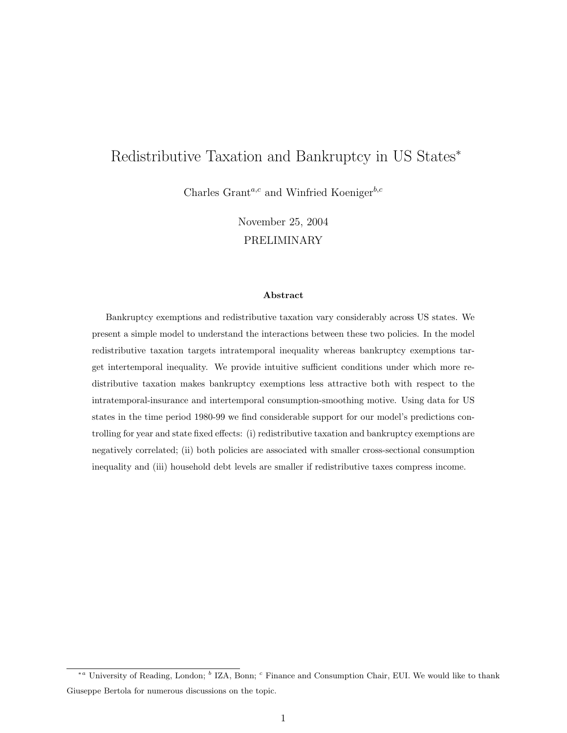# Redistributive Taxation and Bankruptcy in US States<sup>∗</sup>

Charles Grant<sup>a,c</sup> and Winfried Koeniger<sup>b,c</sup>

November 25, 2004 PRELIMINARY

#### Abstract

Bankruptcy exemptions and redistributive taxation vary considerably across US states. We present a simple model to understand the interactions between these two policies. In the model redistributive taxation targets intratemporal inequality whereas bankruptcy exemptions target intertemporal inequality. We provide intuitive sufficient conditions under which more redistributive taxation makes bankruptcy exemptions less attractive both with respect to the intratemporal-insurance and intertemporal consumption-smoothing motive. Using data for US states in the time period 1980-99 we find considerable support for our model's predictions controlling for year and state fixed effects: (i) redistributive taxation and bankruptcy exemptions are negatively correlated; (ii) both policies are associated with smaller cross-sectional consumption inequality and (iii) household debt levels are smaller if redistributive taxes compress income.

<sup>\*&</sup>lt;sup>a</sup> University of Reading, London; <sup>b</sup> IZA, Bonn; <sup>c</sup> Finance and Consumption Chair, EUI. We would like to thank Giuseppe Bertola for numerous discussions on the topic.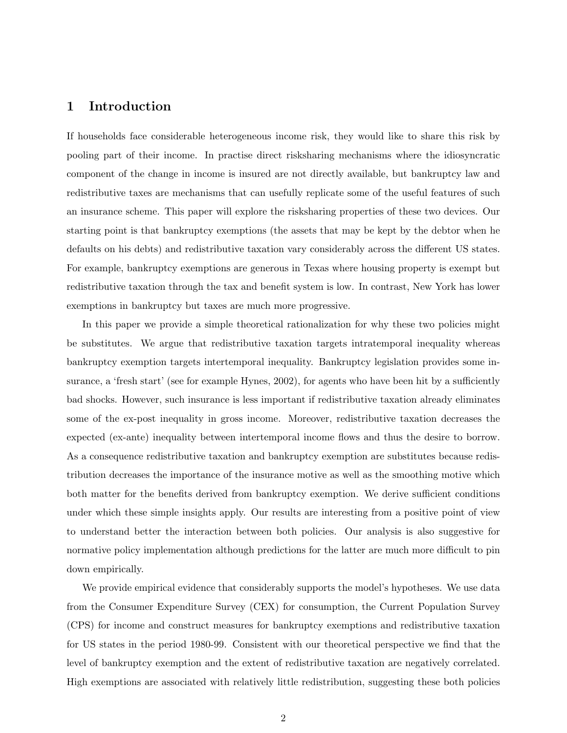# 1 Introduction

If households face considerable heterogeneous income risk, they would like to share this risk by pooling part of their income. In practise direct risksharing mechanisms where the idiosyncratic component of the change in income is insured are not directly available, but bankruptcy law and redistributive taxes are mechanisms that can usefully replicate some of the useful features of such an insurance scheme. This paper will explore the risksharing properties of these two devices. Our starting point is that bankruptcy exemptions (the assets that may be kept by the debtor when he defaults on his debts) and redistributive taxation vary considerably across the different US states. For example, bankruptcy exemptions are generous in Texas where housing property is exempt but redistributive taxation through the tax and benefit system is low. In contrast, New York has lower exemptions in bankruptcy but taxes are much more progressive.

In this paper we provide a simple theoretical rationalization for why these two policies might be substitutes. We argue that redistributive taxation targets intratemporal inequality whereas bankruptcy exemption targets intertemporal inequality. Bankruptcy legislation provides some insurance, a 'fresh start' (see for example Hynes, 2002), for agents who have been hit by a sufficiently bad shocks. However, such insurance is less important if redistributive taxation already eliminates some of the ex-post inequality in gross income. Moreover, redistributive taxation decreases the expected (ex-ante) inequality between intertemporal income flows and thus the desire to borrow. As a consequence redistributive taxation and bankruptcy exemption are substitutes because redistribution decreases the importance of the insurance motive as well as the smoothing motive which both matter for the benefits derived from bankruptcy exemption. We derive sufficient conditions under which these simple insights apply. Our results are interesting from a positive point of view to understand better the interaction between both policies. Our analysis is also suggestive for normative policy implementation although predictions for the latter are much more difficult to pin down empirically.

We provide empirical evidence that considerably supports the model's hypotheses. We use data from the Consumer Expenditure Survey (CEX) for consumption, the Current Population Survey (CPS) for income and construct measures for bankruptcy exemptions and redistributive taxation for US states in the period 1980-99. Consistent with our theoretical perspective we find that the level of bankruptcy exemption and the extent of redistributive taxation are negatively correlated. High exemptions are associated with relatively little redistribution, suggesting these both policies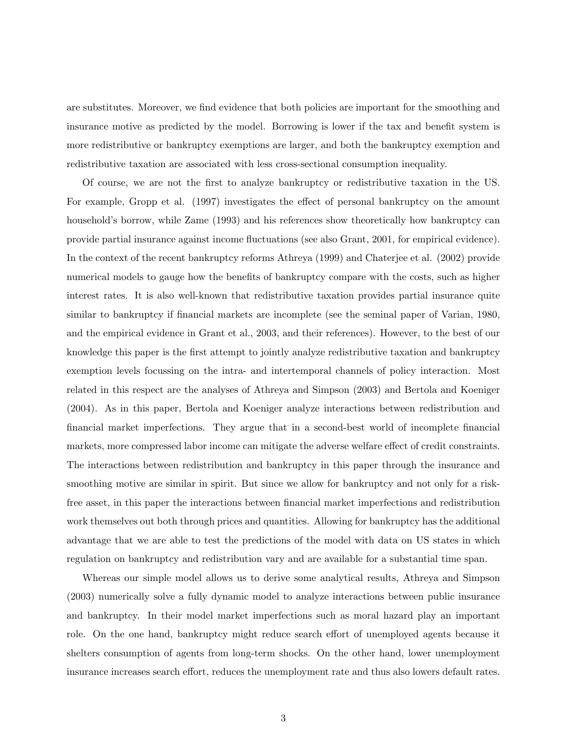are substitutes. Moreover, we find evidence that both policies are important for the smoothing and insurance motive as predicted by the model. Borrowing is lower if the tax and benefit system is more redistributive or bankruptcy exemptions are larger, and both the bankruptcy exemption and redistributive taxation are associated with less cross-sectional consumption inequality.

Of course, we are not the first to analyze bankruptcy or redistributive taxation in the US. For example, Gropp et al. (1997) investigates the effect of personal bankruptcy on the amount household's borrow, while Zame  $(1993)$  and his references show theoretically how bankruptcy can provide partial insurance against income fluctuations (see also Grant, 2001, for empirical evidence). In the context of the recent bankruptcy reforms Athreya (1999) and Chaterjee et al. (2002) provide numerical models to gauge how the benefits of bankruptcy compare with the costs, such as higher interest rates. It is also well-known that redistributive taxation provides partial insurance quite similar to bankruptcy if financial markets are incomplete (see the seminal paper of Varian, 1980, and the empirical evidence in Grant et al., 2003, and their references). However, to the best of our knowledge this paper is the first attempt to jointly analyze redistributive taxation and bankruptcy exemption levels focussing on the intra- and intertemporal channels of policy interaction. Most related in this respect are the analyses of Athreya and Simpson (2003) and Bertola and Koeniger (2004). As in this paper, Bertola and Koeniger analyze interactions between redistribution and financial market imperfections. They argue that in a second-best world of incomplete financial markets, more compressed labor income can mitigate the adverse welfare effect of credit constraints. The interactions between redistribution and bankruptcy in this paper through the insurance and smoothing motive are similar in spirit. But since we allow for bankruptcy and not only for a riskfree asset, in this paper the interactions between financial market imperfections and redistribution work themselves out both through prices and quantities. Allowing for bankruptcy has the additional advantage that we are able to test the predictions of the model with data on US states in which regulation on bankruptcy and redistribution vary and are available for a substantial time span.

Whereas our simple model allows us to derive some analytical results, Athreya and Simpson (2003) numerically solve a fully dynamic model to analyze interactions between public insurance and bankruptcy. In their model market imperfections such as moral hazard play an important role. On the one hand, bankruptcy might reduce search effort of unemployed agents because it shelters consumption of agents from long-term shocks. On the other hand, lower unemployment insurance increases search effort, reduces the unemployment rate and thus also lowers default rates.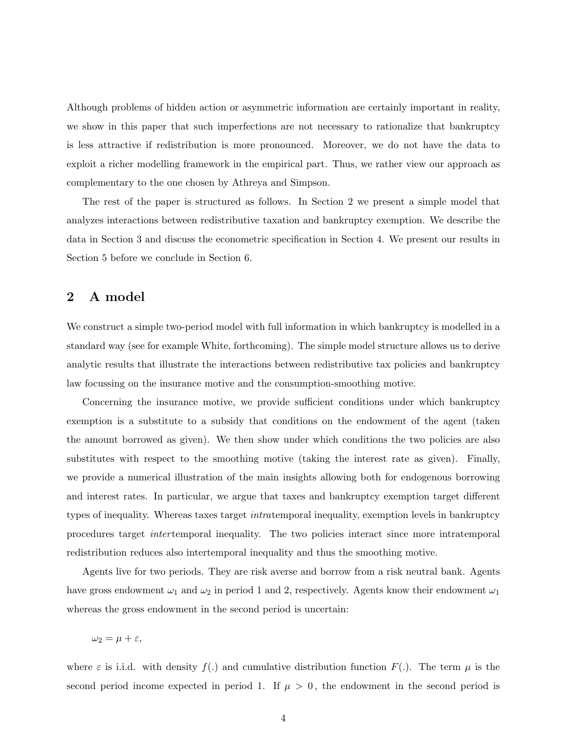Although problems of hidden action or asymmetric information are certainly important in reality, we show in this paper that such imperfections are not necessary to rationalize that bankruptcy is less attractive if redistribution is more pronounced. Moreover, we do not have the data to exploit a richer modelling framework in the empirical part. Thus, we rather view our approach as complementary to the one chosen by Athreya and Simpson.

The rest of the paper is structured as follows. In Section 2 we present a simple model that analyzes interactions between redistributive taxation and bankruptcy exemption. We describe the data in Section 3 and discuss the econometric specification in Section 4. We present our results in Section 5 before we conclude in Section 6.

### 2 A model

We construct a simple two-period model with full information in which bankruptcy is modelled in a standard way (see for example White, forthcoming). The simple model structure allows us to derive analytic results that illustrate the interactions between redistributive tax policies and bankruptcy law focussing on the insurance motive and the consumption-smoothing motive.

Concerning the insurance motive, we provide sufficient conditions under which bankruptcy exemption is a substitute to a subsidy that conditions on the endowment of the agent (taken the amount borrowed as given). We then show under which conditions the two policies are also substitutes with respect to the smoothing motive (taking the interest rate as given). Finally, we provide a numerical illustration of the main insights allowing both for endogenous borrowing and interest rates. In particular, we argue that taxes and bankruptcy exemption target different types of inequality. Whereas taxes target intratemporal inequality, exemption levels in bankruptcy procedures target *inter* temporal inequality. The two policies interact since more intratemporal redistribution reduces also intertemporal inequality and thus the smoothing motive.

Agents live for two periods. They are risk averse and borrow from a risk neutral bank. Agents have gross endowment  $\omega_1$  and  $\omega_2$  in period 1 and 2, respectively. Agents know their endowment  $\omega_1$ whereas the gross endowment in the second period is uncertain:

 $\omega_2 = \mu + \varepsilon$ ,

where  $\varepsilon$  is i.i.d. with density  $f(.)$  and cumulative distribution function  $F(.)$ . The term  $\mu$  is the second period income expected in period 1. If  $\mu > 0$ , the endowment in the second period is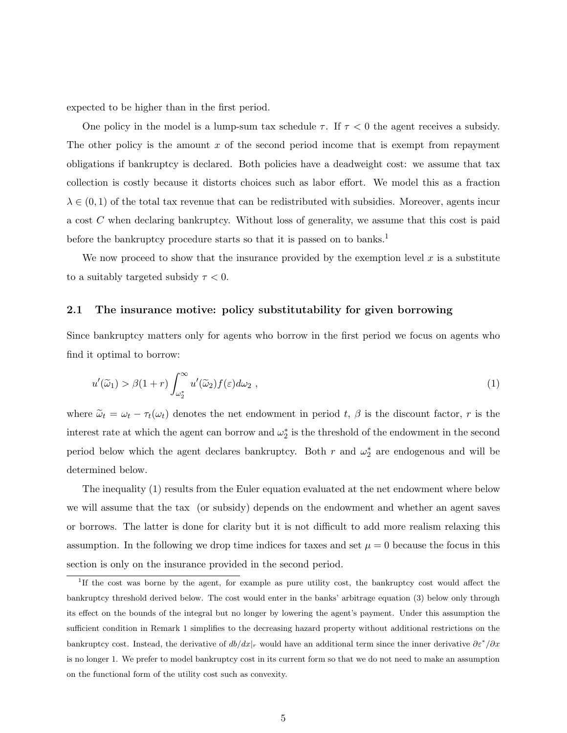expected to be higher than in the first period.

One policy in the model is a lump-sum tax schedule  $\tau$ . If  $\tau < 0$  the agent receives a subsidy. The other policy is the amount  $x$  of the second period income that is exempt from repayment obligations if bankruptcy is declared. Both policies have a deadweight cost: we assume that tax collection is costly because it distorts choices such as labor effort. We model this as a fraction  $\lambda \in (0,1)$  of the total tax revenue that can be redistributed with subsidies. Moreover, agents incur a cost C when declaring bankruptcy. Without loss of generality, we assume that this cost is paid before the bankruptcy procedure starts so that it is passed on to banks.<sup>1</sup>

We now proceed to show that the insurance provided by the exemption level  $x$  is a substitute to a suitably targeted subsidy  $\tau < 0$ .

#### 2.1 The insurance motive: policy substitutability for given borrowing

Since bankruptcy matters only for agents who borrow in the first period we focus on agents who find it optimal to borrow:

$$
u'(\tilde{\omega}_1) > \beta(1+r) \int_{\omega_2^*}^{\infty} u'(\tilde{\omega}_2) f(\varepsilon) d\omega_2 , \qquad (1)
$$

where  $\tilde{\omega}_t = \omega_t - \tau_t(\omega_t)$  denotes the net endowment in period t,  $\beta$  is the discount factor, r is the interest rate at which the agent can borrow and  $\omega_2^*$  is the threshold of the endowment in the second period below which the agent declares bankruptcy. Both r and  $\omega_2^*$  are endogenous and will be determined below.

The inequality (1) results from the Euler equation evaluated at the net endowment where below we will assume that the tax (or subsidy) depends on the endowment and whether an agent saves or borrows. The latter is done for clarity but it is not difficult to add more realism relaxing this assumption. In the following we drop time indices for taxes and set  $\mu = 0$  because the focus in this section is only on the insurance provided in the second period.

<sup>&</sup>lt;sup>1</sup>If the cost was borne by the agent, for example as pure utility cost, the bankruptcy cost would affect the bankruptcy threshold derived below. The cost would enter in the banks' arbitrage equation (3) below only through its effect on the bounds of the integral but no longer by lowering the agent's payment. Under this assumption the sufficient condition in Remark 1 simplifies to the decreasing hazard property without additional restrictions on the bankruptcy cost. Instead, the derivative of  $db/dx|_r$  would have an additional term since the inner derivative  $\partial \varepsilon^* / \partial x$ is no longer 1. We prefer to model bankruptcy cost in its current form so that we do not need to make an assumption on the functional form of the utility cost such as convexity.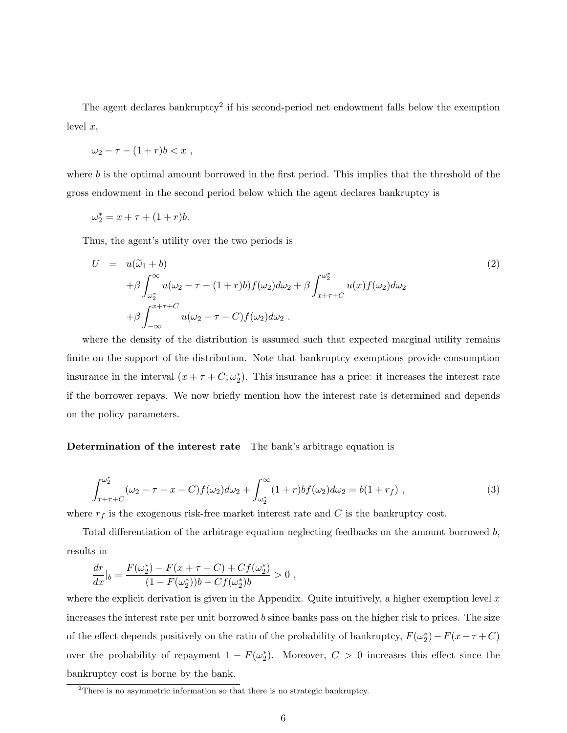The agent declares bankruptcy<sup>2</sup> if his second-period net endowment falls below the exemption level  $x$ ,

$$
\omega_2 - \tau - (1+r)b < x \; ,
$$

where  $b$  is the optimal amount borrowed in the first period. This implies that the threshold of the gross endowment in the second period below which the agent declares bankruptcy is

$$
\omega_2^* = x + \tau + (1+r)b.
$$

Thus, the agent's utility over the two periods is

$$
U = u(\widetilde{\omega}_1 + b)
$$
  
+  $\beta \int_{\omega_2^*}^{\infty} u(\omega_2 - \tau - (1+r)b) f(\omega_2) d\omega_2 + \beta \int_{x+\tau+C}^{\omega_2^*} u(x) f(\omega_2) d\omega_2$   
+  $\beta \int_{-\infty}^{x+\tau+C} u(\omega_2 - \tau - C) f(\omega_2) d\omega_2$ . (2)

where the density of the distribution is assumed such that expected marginal utility remains finite on the support of the distribution. Note that bankruptcy exemptions provide consumption insurance in the interval  $(x + \tau + C; \omega_2^*)$ . This insurance has a price: it increases the interest rate if the borrower repays. We now briefly mention how the interest rate is determined and depends on the policy parameters.

#### Determination of the interest rate The bank's arbitrage equation is

$$
\int_{x+\tau+C}^{\omega_2^*} (\omega_2 - \tau - x - C) f(\omega_2) d\omega_2 + \int_{\omega_2^*}^{\infty} (1+r) b f(\omega_2) d\omega_2 = b(1+r_f), \qquad (3)
$$

where  $r_f$  is the exogenous risk-free market interest rate and  ${\cal C}$  is the bankruptcy cost.

Total differentiation of the arbitrage equation neglecting feedbacks on the amount borrowed b, results in

$$
\frac{dr}{dx}|_b = \frac{F(\omega_2^*) - F(x + \tau + C) + Cf(\omega_2^*)}{(1 - F(\omega_2^*))b - Cf(\omega_2^*)b} > 0,
$$

where the explicit derivation is given in the Appendix. Quite intuitively, a higher exemption level  $x$ increases the interest rate per unit borrowed  $b$  since banks pass on the higher risk to prices. The size of the effect depends positively on the ratio of the probability of bankruptcy,  $F(\omega_2^*) - F(x + \tau + C)$ over the probability of repayment  $1 - F(\omega_2^*)$ . Moreover,  $C > 0$  increases this effect since the bankruptcy cost is borne by the bank.

<sup>&</sup>lt;sup>2</sup>There is no asymmetric information so that there is no strategic bankruptcy.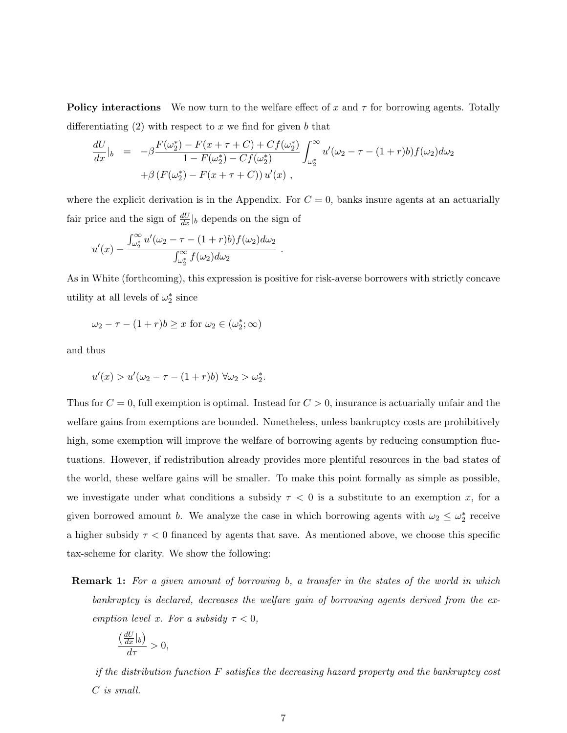**Policy interactions** We now turn to the welfare effect of x and  $\tau$  for borrowing agents. Totally differentiating  $(2)$  with respect to x we find for given b that

$$
\frac{dU}{dx}|_{b} = -\beta \frac{F(\omega_{2}^{*}) - F(x + \tau + C) + Cf(\omega_{2}^{*})}{1 - F(\omega_{2}^{*}) - Cf(\omega_{2}^{*})} \int_{\omega_{2}^{*}}^{\infty} u'(\omega_{2} - \tau - (1 + r)b) f(\omega_{2}) d\omega_{2} \n+ \beta (F(\omega_{2}^{*}) - F(x + \tau + C)) u'(x) ,
$$

where the explicit derivation is in the Appendix. For  $C = 0$ , banks insure agents at an actuarially fair price and the sign of  $\frac{dU}{dx}|_b$  depends on the sign of

$$
u'(x) - \frac{\int_{\omega_2^*}^{\infty} u'(\omega_2 - \tau - (1+r)b) f(\omega_2) d\omega_2}{\int_{\omega_2^*}^{\infty} f(\omega_2) d\omega_2}.
$$

As in White (forthcoming), this expression is positive for risk-averse borrowers with strictly concave utility at all levels of  $\omega_2^*$  since

$$
\omega_2 - \tau - (1+r)b \ge x \text{ for } \omega_2 \in (\omega_2^*; \infty)
$$

and thus

$$
u'(x) > u'(\omega_2 - \tau - (1+r)b) \,\forall \omega_2 > \omega_2^*.
$$

Thus for  $C = 0$ , full exemption is optimal. Instead for  $C > 0$ , insurance is actuarially unfair and the welfare gains from exemptions are bounded. Nonetheless, unless bankruptcy costs are prohibitively high, some exemption will improve the welfare of borrowing agents by reducing consumption fluctuations. However, if redistribution already provides more plentiful resources in the bad states of the world, these welfare gains will be smaller. To make this point formally as simple as possible, we investigate under what conditions a subsidy  $\tau < 0$  is a substitute to an exemption x, for a given borrowed amount b. We analyze the case in which borrowing agents with  $\omega_2 \leq \omega_2^*$  receive a higher subsidy  $\tau < 0$  financed by agents that save. As mentioned above, we choose this specific tax-scheme for clarity. We show the following:

**Remark 1:** For a given amount of borrowing b, a transfer in the states of the world in which bankruptcy is declared, decreases the welfare gain of borrowing agents derived from the exemption level x. For a subsidy  $\tau < 0$ ,

$$
\frac{\left(\frac{dU}{dx}|_b\right)}{d\tau} > 0,
$$

if the distribution function F satisfies the decreasing hazard property and the bankruptcy cost C is small.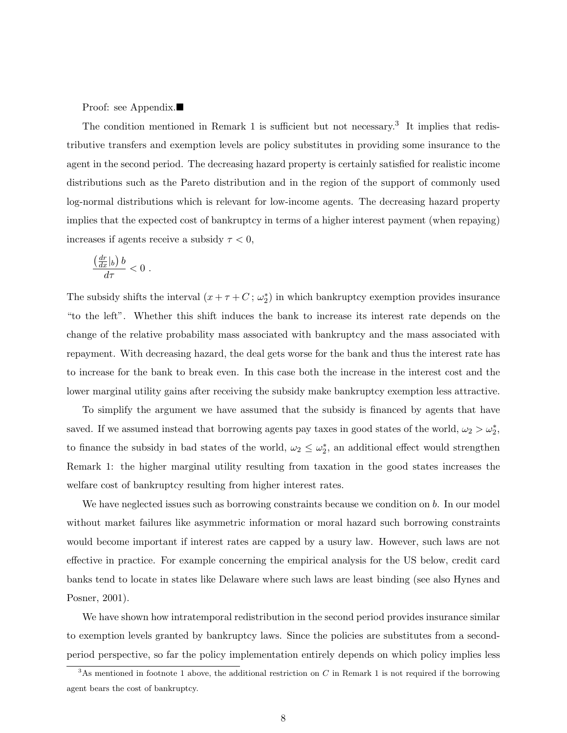Proof: see Appendix. $\blacksquare$ 

The condition mentioned in Remark 1 is sufficient but not necessary.<sup>3</sup> It implies that redistributive transfers and exemption levels are policy substitutes in providing some insurance to the agent in the second period. The decreasing hazard property is certainly satisfied for realistic income distributions such as the Pareto distribution and in the region of the support of commonly used log-normal distributions which is relevant for low-income agents. The decreasing hazard property implies that the expected cost of bankruptcy in terms of a higher interest payment (when repaying) increases if agents receive a subsidy  $\tau < 0$ ,

$$
\frac{\left(\frac{dr}{dx}|_b\right)b}{d\tau}<0.
$$

The subsidy shifts the interval  $(x + \tau + C; \omega_2^*)$  in which bankruptcy exemption provides insurance "to the left". Whether this shift induces the bank to increase its interest rate depends on the change of the relative probability mass associated with bankruptcy and the mass associated with repayment. With decreasing hazard, the deal gets worse for the bank and thus the interest rate has to increase for the bank to break even. In this case both the increase in the interest cost and the lower marginal utility gains after receiving the subsidy make bankruptcy exemption less attractive.

To simplify the argument we have assumed that the subsidy is financed by agents that have saved. If we assumed instead that borrowing agents pay taxes in good states of the world,  $\omega_2 > \omega_2^*$ , to finance the subsidy in bad states of the world,  $\omega_2 \leq \omega_2^*$ , an additional effect would strengthen Remark 1: the higher marginal utility resulting from taxation in the good states increases the welfare cost of bankruptcy resulting from higher interest rates.

We have neglected issues such as borrowing constraints because we condition on b. In our model without market failures like asymmetric information or moral hazard such borrowing constraints would become important if interest rates are capped by a usury law. However, such laws are not effective in practice. For example concerning the empirical analysis for the US below, credit card banks tend to locate in states like Delaware where such laws are least binding (see also Hynes and Posner, 2001).

We have shown how intratemporal redistribution in the second period provides insurance similar to exemption levels granted by bankruptcy laws. Since the policies are substitutes from a secondperiod perspective, so far the policy implementation entirely depends on which policy implies less

 $3$ As mentioned in footnote 1 above, the additional restriction on C in Remark 1 is not required if the borrowing agent bears the cost of bankruptcy.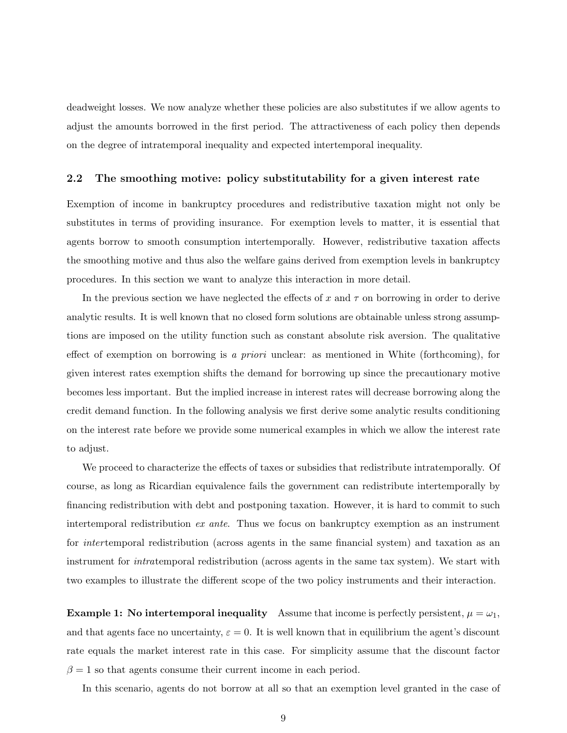deadweight losses. We now analyze whether these policies are also substitutes if we allow agents to adjust the amounts borrowed in the first period. The attractiveness of each policy then depends on the degree of intratemporal inequality and expected intertemporal inequality.

#### 2.2 The smoothing motive: policy substitutability for a given interest rate

Exemption of income in bankruptcy procedures and redistributive taxation might not only be substitutes in terms of providing insurance. For exemption levels to matter, it is essential that agents borrow to smooth consumption intertemporally. However, redistributive taxation affects the smoothing motive and thus also the welfare gains derived from exemption levels in bankruptcy procedures. In this section we want to analyze this interaction in more detail.

In the previous section we have neglected the effects of x and  $\tau$  on borrowing in order to derive analytic results. It is well known that no closed form solutions are obtainable unless strong assumptions are imposed on the utility function such as constant absolute risk aversion. The qualitative effect of exemption on borrowing is a priori unclear: as mentioned in White (forthcoming), for given interest rates exemption shifts the demand for borrowing up since the precautionary motive becomes less important. But the implied increase in interest rates will decrease borrowing along the credit demand function. In the following analysis we first derive some analytic results conditioning on the interest rate before we provide some numerical examples in which we allow the interest rate to adjust.

We proceed to characterize the effects of taxes or subsidies that redistribute intratemporally. Of course, as long as Ricardian equivalence fails the government can redistribute intertemporally by financing redistribution with debt and postponing taxation. However, it is hard to commit to such intertemporal redistribution ex ante. Thus we focus on bankruptcy exemption as an instrument for *inter* temporal redistribution (across agents in the same financial system) and taxation as an instrument for intratemporal redistribution (across agents in the same tax system). We start with two examples to illustrate the different scope of the two policy instruments and their interaction.

**Example 1:** No intertemporal inequality Assume that income is perfectly persistent,  $\mu = \omega_1$ , and that agents face no uncertainty,  $\varepsilon = 0$ . It is well known that in equilibrium the agent's discount rate equals the market interest rate in this case. For simplicity assume that the discount factor  $\beta = 1$  so that agents consume their current income in each period.

In this scenario, agents do not borrow at all so that an exemption level granted in the case of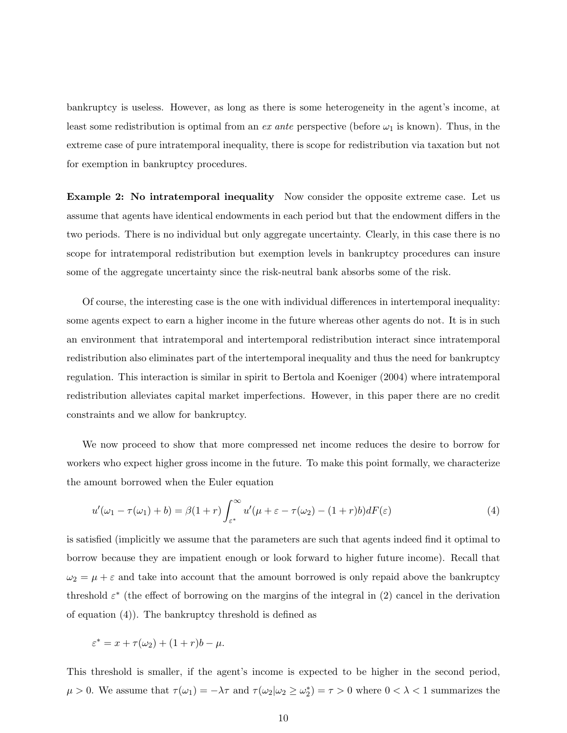bankruptcy is useless. However, as long as there is some heterogeneity in the agent's income, at least some redistribution is optimal from an ex ante perspective (before  $\omega_1$  is known). Thus, in the extreme case of pure intratemporal inequality, there is scope for redistribution via taxation but not for exemption in bankruptcy procedures.

Example 2: No intratemporal inequality Now consider the opposite extreme case. Let us assume that agents have identical endowments in each period but that the endowment differs in the two periods. There is no individual but only aggregate uncertainty. Clearly, in this case there is no scope for intratemporal redistribution but exemption levels in bankruptcy procedures can insure some of the aggregate uncertainty since the risk-neutral bank absorbs some of the risk.

Of course, the interesting case is the one with individual differences in intertemporal inequality: some agents expect to earn a higher income in the future whereas other agents do not. It is in such an environment that intratemporal and intertemporal redistribution interact since intratemporal redistribution also eliminates part of the intertemporal inequality and thus the need for bankruptcy regulation. This interaction is similar in spirit to Bertola and Koeniger (2004) where intratemporal redistribution alleviates capital market imperfections. However, in this paper there are no credit constraints and we allow for bankruptcy.

We now proceed to show that more compressed net income reduces the desire to borrow for workers who expect higher gross income in the future. To make this point formally, we characterize the amount borrowed when the Euler equation

$$
u'(\omega_1 - \tau(\omega_1) + b) = \beta(1+r)\int_{\varepsilon^*}^{\infty} u'(\mu + \varepsilon - \tau(\omega_2) - (1+r)b)dF(\varepsilon)
$$
\n(4)

is satisfied (implicitly we assume that the parameters are such that agents indeed find it optimal to borrow because they are impatient enough or look forward to higher future income). Recall that  $\omega_2 = \mu + \varepsilon$  and take into account that the amount borrowed is only repaid above the bankruptcy threshold  $\varepsilon^*$  (the effect of borrowing on the margins of the integral in (2) cancel in the derivation of equation (4)). The bankruptcy threshold is defined as

$$
\varepsilon^* = x + \tau(\omega_2) + (1+r)b - \mu.
$$

This threshold is smaller, if the agent's income is expected to be higher in the second period,  $\mu > 0$ . We assume that  $\tau(\omega_1) = -\lambda \tau$  and  $\tau(\omega_2 | \omega_2 \ge \omega_2^*) = \tau > 0$  where  $0 < \lambda < 1$  summarizes the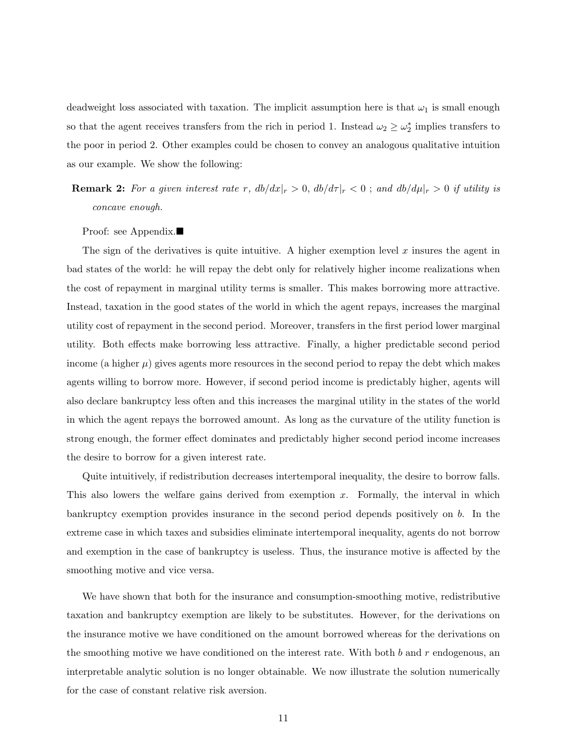deadweight loss associated with taxation. The implicit assumption here is that  $\omega_1$  is small enough so that the agent receives transfers from the rich in period 1. Instead  $\omega_2 \geq \omega_2^*$  implies transfers to the poor in period 2. Other examples could be chosen to convey an analogous qualitative intuition as our example. We show the following:

**Remark 2:** For a given interest rate r,  $db/dx|_r > 0$ ,  $db/d\tau|_r < 0$ ; and  $db/d\mu|_r > 0$  if utility is concave enough.

#### Proof: see Appendix. $\blacksquare$

The sign of the derivatives is quite intuitive. A higher exemption level  $x$  insures the agent in bad states of the world: he will repay the debt only for relatively higher income realizations when the cost of repayment in marginal utility terms is smaller. This makes borrowing more attractive. Instead, taxation in the good states of the world in which the agent repays, increases the marginal utility cost of repayment in the second period. Moreover, transfers in the first period lower marginal utility. Both effects make borrowing less attractive. Finally, a higher predictable second period income (a higher  $\mu$ ) gives agents more resources in the second period to repay the debt which makes agents willing to borrow more. However, if second period income is predictably higher, agents will also declare bankruptcy less often and this increases the marginal utility in the states of the world in which the agent repays the borrowed amount. As long as the curvature of the utility function is strong enough, the former effect dominates and predictably higher second period income increases the desire to borrow for a given interest rate.

Quite intuitively, if redistribution decreases intertemporal inequality, the desire to borrow falls. This also lowers the welfare gains derived from exemption x. Formally, the interval in which bankruptcy exemption provides insurance in the second period depends positively on b. In the extreme case in which taxes and subsidies eliminate intertemporal inequality, agents do not borrow and exemption in the case of bankruptcy is useless. Thus, the insurance motive is affected by the smoothing motive and vice versa.

We have shown that both for the insurance and consumption-smoothing motive, redistributive taxation and bankruptcy exemption are likely to be substitutes. However, for the derivations on the insurance motive we have conditioned on the amount borrowed whereas for the derivations on the smoothing motive we have conditioned on the interest rate. With both b and r endogenous, an interpretable analytic solution is no longer obtainable. We now illustrate the solution numerically for the case of constant relative risk aversion.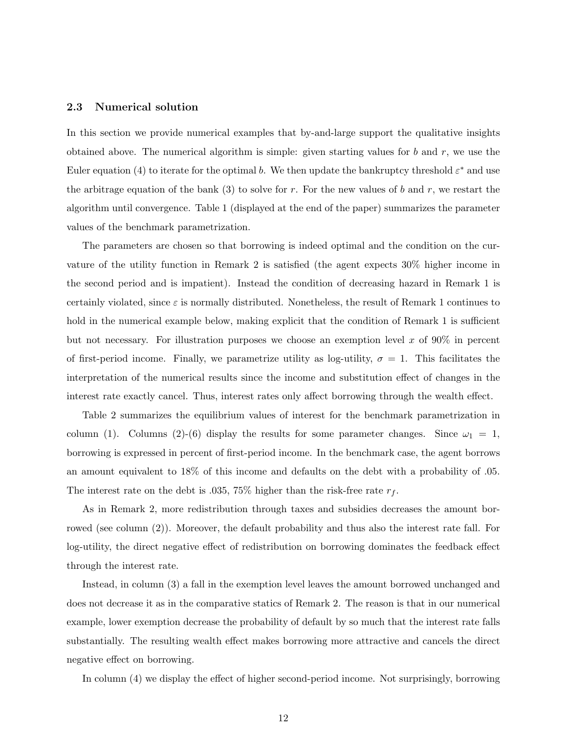#### 2.3 Numerical solution

In this section we provide numerical examples that by-and-large support the qualitative insights obtained above. The numerical algorithm is simple: given starting values for  $b$  and  $r$ , we use the Euler equation (4) to iterate for the optimal b. We then update the bankruptcy threshold  $\varepsilon^*$  and use the arbitrage equation of the bank (3) to solve for r. For the new values of b and r, we restart the algorithm until convergence. Table 1 (displayed at the end of the paper) summarizes the parameter values of the benchmark parametrization.

The parameters are chosen so that borrowing is indeed optimal and the condition on the curvature of the utility function in Remark 2 is satisfied (the agent expects 30% higher income in the second period and is impatient). Instead the condition of decreasing hazard in Remark 1 is certainly violated, since  $\varepsilon$  is normally distributed. Nonetheless, the result of Remark 1 continues to hold in the numerical example below, making explicit that the condition of Remark 1 is sufficient but not necessary. For illustration purposes we choose an exemption level  $x$  of 90% in percent of first-period income. Finally, we parametrize utility as log-utility,  $\sigma = 1$ . This facilitates the interpretation of the numerical results since the income and substitution effect of changes in the interest rate exactly cancel. Thus, interest rates only affect borrowing through the wealth effect.

Table 2 summarizes the equilibrium values of interest for the benchmark parametrization in column (1). Columns (2)-(6) display the results for some parameter changes. Since  $\omega_1 = 1$ , borrowing is expressed in percent of first-period income. In the benchmark case, the agent borrows an amount equivalent to 18% of this income and defaults on the debt with a probability of .05. The interest rate on the debt is .035, 75% higher than the risk-free rate  $r_f$ .

As in Remark 2, more redistribution through taxes and subsidies decreases the amount borrowed (see column (2)). Moreover, the default probability and thus also the interest rate fall. For log-utility, the direct negative effect of redistribution on borrowing dominates the feedback effect through the interest rate.

Instead, in column (3) a fall in the exemption level leaves the amount borrowed unchanged and does not decrease it as in the comparative statics of Remark 2. The reason is that in our numerical example, lower exemption decrease the probability of default by so much that the interest rate falls substantially. The resulting wealth effect makes borrowing more attractive and cancels the direct negative effect on borrowing.

In column (4) we display the effect of higher second-period income. Not surprisingly, borrowing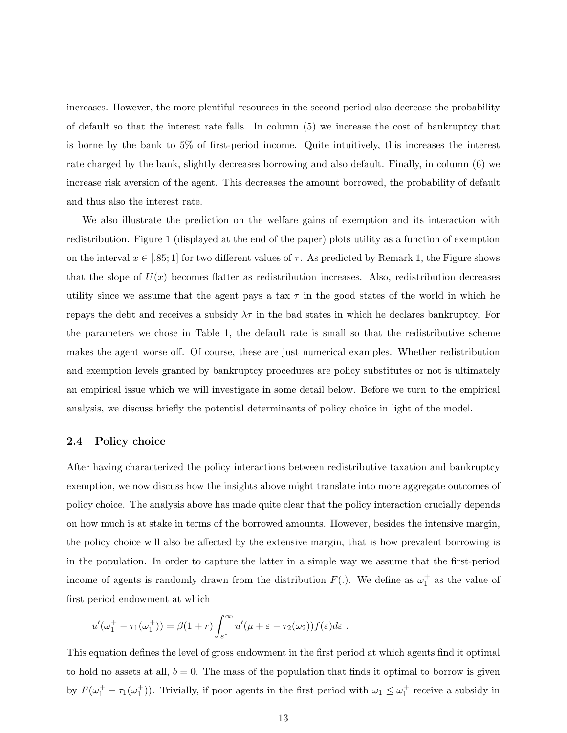increases. However, the more plentiful resources in the second period also decrease the probability of default so that the interest rate falls. In column (5) we increase the cost of bankruptcy that is borne by the bank to 5% of first-period income. Quite intuitively, this increases the interest rate charged by the bank, slightly decreases borrowing and also default. Finally, in column (6) we increase risk aversion of the agent. This decreases the amount borrowed, the probability of default and thus also the interest rate.

We also illustrate the prediction on the welfare gains of exemption and its interaction with redistribution. Figure 1 (displayed at the end of the paper) plots utility as a function of exemption on the interval  $x \in [.85;1]$  for two different values of  $\tau$ . As predicted by Remark 1, the Figure shows that the slope of  $U(x)$  becomes flatter as redistribution increases. Also, redistribution decreases utility since we assume that the agent pays a tax  $\tau$  in the good states of the world in which he repays the debt and receives a subsidy  $\lambda \tau$  in the bad states in which he declares bankruptcy. For the parameters we chose in Table 1, the default rate is small so that the redistributive scheme makes the agent worse off. Of course, these are just numerical examples. Whether redistribution and exemption levels granted by bankruptcy procedures are policy substitutes or not is ultimately an empirical issue which we will investigate in some detail below. Before we turn to the empirical analysis, we discuss briefly the potential determinants of policy choice in light of the model.

#### 2.4 Policy choice

After having characterized the policy interactions between redistributive taxation and bankruptcy exemption, we now discuss how the insights above might translate into more aggregate outcomes of policy choice. The analysis above has made quite clear that the policy interaction crucially depends on how much is at stake in terms of the borrowed amounts. However, besides the intensive margin, the policy choice will also be affected by the extensive margin, that is how prevalent borrowing is in the population. In order to capture the latter in a simple way we assume that the first-period income of agents is randomly drawn from the distribution  $F(.)$ . We define as  $\omega_1^+$  as the value of first period endowment at which

$$
u'(\omega_1^+ - \tau_1(\omega_1^+)) = \beta(1+r)\int_{\varepsilon^*}^{\infty} u'(\mu+\varepsilon-\tau_2(\omega_2))f(\varepsilon)d\varepsilon.
$$

This equation defines the level of gross endowment in the first period at which agents find it optimal to hold no assets at all,  $b = 0$ . The mass of the population that finds it optimal to borrow is given by  $F(\omega_1^+ - \tau_1(\omega_1^+))$ . Trivially, if poor agents in the first period with  $\omega_1 \leq \omega_1^+$  receive a subsidy in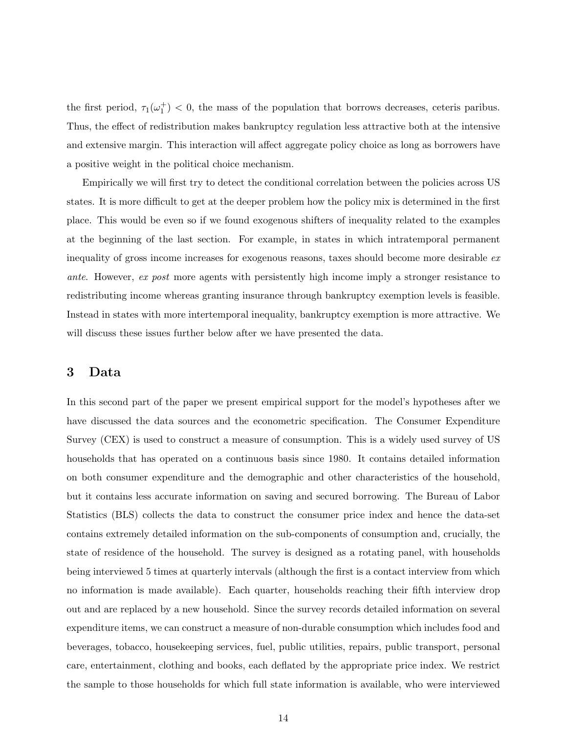the first period,  $\tau_1(\omega_1^+)$  < 0, the mass of the population that borrows decreases, ceteris paribus. Thus, the effect of redistribution makes bankruptcy regulation less attractive both at the intensive and extensive margin. This interaction will affect aggregate policy choice as long as borrowers have a positive weight in the political choice mechanism.

Empirically we will first try to detect the conditional correlation between the policies across US states. It is more difficult to get at the deeper problem how the policy mix is determined in the first place. This would be even so if we found exogenous shifters of inequality related to the examples at the beginning of the last section. For example, in states in which intratemporal permanent inequality of gross income increases for exogenous reasons, taxes should become more desirable ex ante. However, ex post more agents with persistently high income imply a stronger resistance to redistributing income whereas granting insurance through bankruptcy exemption levels is feasible. Instead in states with more intertemporal inequality, bankruptcy exemption is more attractive. We will discuss these issues further below after we have presented the data.

### 3 Data

In this second part of the paper we present empirical support for the model's hypotheses after we have discussed the data sources and the econometric specification. The Consumer Expenditure Survey (CEX) is used to construct a measure of consumption. This is a widely used survey of US households that has operated on a continuous basis since 1980. It contains detailed information on both consumer expenditure and the demographic and other characteristics of the household, but it contains less accurate information on saving and secured borrowing. The Bureau of Labor Statistics (BLS) collects the data to construct the consumer price index and hence the data-set contains extremely detailed information on the sub-components of consumption and, crucially, the state of residence of the household. The survey is designed as a rotating panel, with households being interviewed 5 times at quarterly intervals (although the first is a contact interview from which no information is made available). Each quarter, households reaching their fifth interview drop out and are replaced by a new household. Since the survey records detailed information on several expenditure items, we can construct a measure of non-durable consumption which includes food and beverages, tobacco, housekeeping services, fuel, public utilities, repairs, public transport, personal care, entertainment, clothing and books, each deflated by the appropriate price index. We restrict the sample to those households for which full state information is available, who were interviewed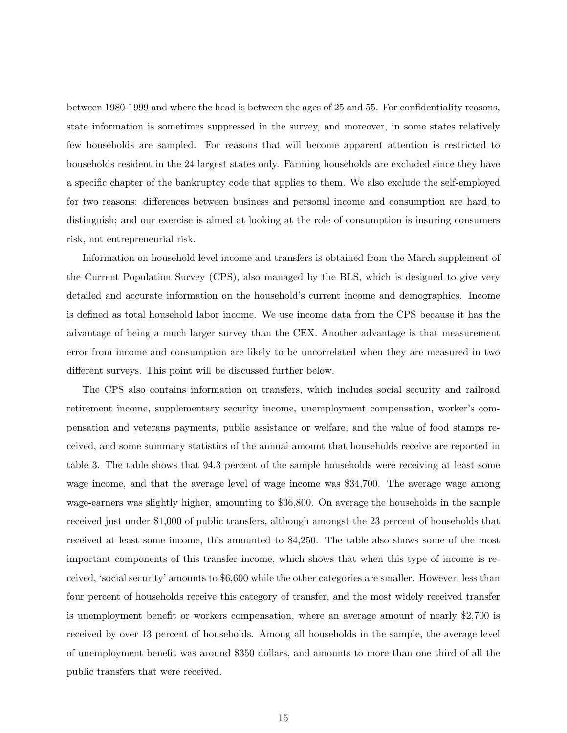between 1980-1999 and where the head is between the ages of 25 and 55. For confidentiality reasons, state information is sometimes suppressed in the survey, and moreover, in some states relatively few households are sampled. For reasons that will become apparent attention is restricted to households resident in the 24 largest states only. Farming households are excluded since they have a specific chapter of the bankruptcy code that applies to them. We also exclude the self-employed for two reasons: differences between business and personal income and consumption are hard to distinguish; and our exercise is aimed at looking at the role of consumption is insuring consumers risk, not entrepreneurial risk.

Information on household level income and transfers is obtained from the March supplement of the Current Population Survey (CPS), also managed by the BLS, which is designed to give very detailed and accurate information on the household's current income and demographics. Income is defined as total household labor income. We use income data from the CPS because it has the advantage of being a much larger survey than the CEX. Another advantage is that measurement error from income and consumption are likely to be uncorrelated when they are measured in two different surveys. This point will be discussed further below.

The CPS also contains information on transfers, which includes social security and railroad retirement income, supplementary security income, unemployment compensation, worker's compensation and veterans payments, public assistance or welfare, and the value of food stamps received, and some summary statistics of the annual amount that households receive are reported in table 3. The table shows that 94.3 percent of the sample households were receiving at least some wage income, and that the average level of wage income was \$34,700. The average wage among wage-earners was slightly higher, amounting to \$36,800. On average the households in the sample received just under \$1,000 of public transfers, although amongst the 23 percent of households that received at least some income, this amounted to \$4,250. The table also shows some of the most important components of this transfer income, which shows that when this type of income is received, 'social security' amounts to \$6,600 while the other categories are smaller. However, less than four percent of households receive this category of transfer, and the most widely received transfer is unemployment benefit or workers compensation, where an average amount of nearly \$2,700 is received by over 13 percent of households. Among all households in the sample, the average level of unemployment benefit was around \$350 dollars, and amounts to more than one third of all the public transfers that were received.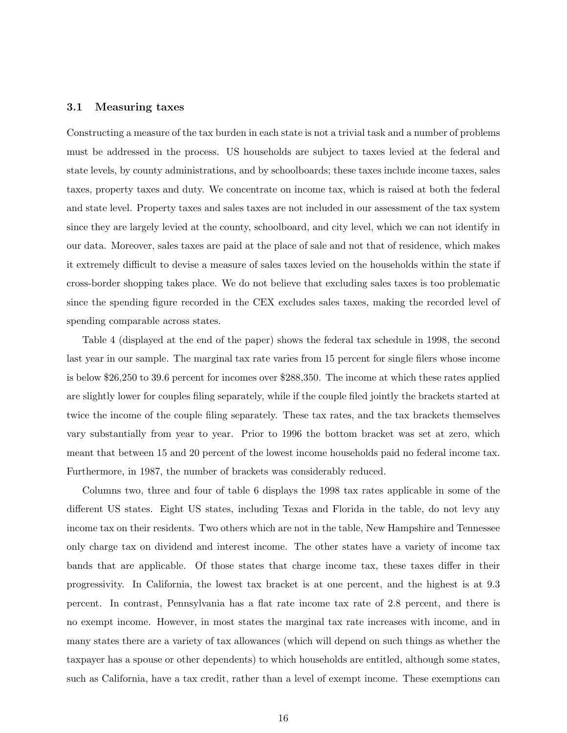#### 3.1 Measuring taxes

Constructing a measure of the tax burden in each state is not a trivial task and a number of problems must be addressed in the process. US households are subject to taxes levied at the federal and state levels, by county administrations, and by schoolboards; these taxes include income taxes, sales taxes, property taxes and duty. We concentrate on income tax, which is raised at both the federal and state level. Property taxes and sales taxes are not included in our assessment of the tax system since they are largely levied at the county, schoolboard, and city level, which we can not identify in our data. Moreover, sales taxes are paid at the place of sale and not that of residence, which makes it extremely difficult to devise a measure of sales taxes levied on the households within the state if cross-border shopping takes place. We do not believe that excluding sales taxes is too problematic since the spending figure recorded in the CEX excludes sales taxes, making the recorded level of spending comparable across states.

Table 4 (displayed at the end of the paper) shows the federal tax schedule in 1998, the second last year in our sample. The marginal tax rate varies from 15 percent for single filers whose income is below \$26,250 to 39.6 percent for incomes over \$288,350. The income at which these rates applied are slightly lower for couples filing separately, while if the couple filed jointly the brackets started at twice the income of the couple filing separately. These tax rates, and the tax brackets themselves vary substantially from year to year. Prior to 1996 the bottom bracket was set at zero, which meant that between 15 and 20 percent of the lowest income households paid no federal income tax. Furthermore, in 1987, the number of brackets was considerably reduced.

Columns two, three and four of table 6 displays the 1998 tax rates applicable in some of the different US states. Eight US states, including Texas and Florida in the table, do not levy any income tax on their residents. Two others which are not in the table, New Hampshire and Tennessee only charge tax on dividend and interest income. The other states have a variety of income tax bands that are applicable. Of those states that charge income tax, these taxes differ in their progressivity. In California, the lowest tax bracket is at one percent, and the highest is at 9.3 percent. In contrast, Pennsylvania has a flat rate income tax rate of 2.8 percent, and there is no exempt income. However, in most states the marginal tax rate increases with income, and in many states there are a variety of tax allowances (which will depend on such things as whether the taxpayer has a spouse or other dependents) to which households are entitled, although some states, such as California, have a tax credit, rather than a level of exempt income. These exemptions can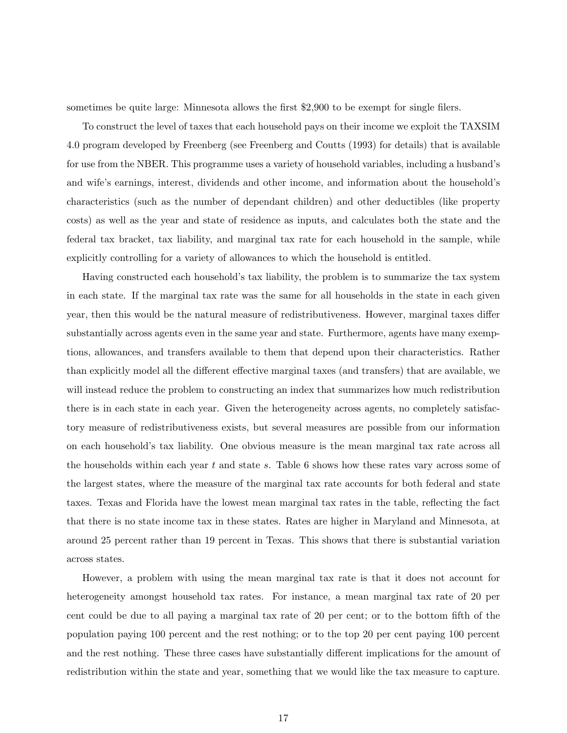sometimes be quite large: Minnesota allows the first \$2,900 to be exempt for single filers.

To construct the level of taxes that each household pays on their income we exploit the TAXSIM 4.0 program developed by Freenberg (see Freenberg and Coutts (1993) for details) that is available for use from the NBER. This programme uses a variety of household variables, including a husband's and wife's earnings, interest, dividends and other income, and information about the household's characteristics (such as the number of dependant children) and other deductibles (like property costs) as well as the year and state of residence as inputs, and calculates both the state and the federal tax bracket, tax liability, and marginal tax rate for each household in the sample, while explicitly controlling for a variety of allowances to which the household is entitled.

Having constructed each household's tax liability, the problem is to summarize the tax system in each state. If the marginal tax rate was the same for all households in the state in each given year, then this would be the natural measure of redistributiveness. However, marginal taxes differ substantially across agents even in the same year and state. Furthermore, agents have many exemptions, allowances, and transfers available to them that depend upon their characteristics. Rather than explicitly model all the different effective marginal taxes (and transfers) that are available, we will instead reduce the problem to constructing an index that summarizes how much redistribution there is in each state in each year. Given the heterogeneity across agents, no completely satisfactory measure of redistributiveness exists, but several measures are possible from our information on each household's tax liability. One obvious measure is the mean marginal tax rate across all the households within each year t and state s. Table 6 shows how these rates vary across some of the largest states, where the measure of the marginal tax rate accounts for both federal and state taxes. Texas and Florida have the lowest mean marginal tax rates in the table, reflecting the fact that there is no state income tax in these states. Rates are higher in Maryland and Minnesota, at around 25 percent rather than 19 percent in Texas. This shows that there is substantial variation across states.

However, a problem with using the mean marginal tax rate is that it does not account for heterogeneity amongst household tax rates. For instance, a mean marginal tax rate of 20 per cent could be due to all paying a marginal tax rate of 20 per cent; or to the bottom fifth of the population paying 100 percent and the rest nothing; or to the top 20 per cent paying 100 percent and the rest nothing. These three cases have substantially different implications for the amount of redistribution within the state and year, something that we would like the tax measure to capture.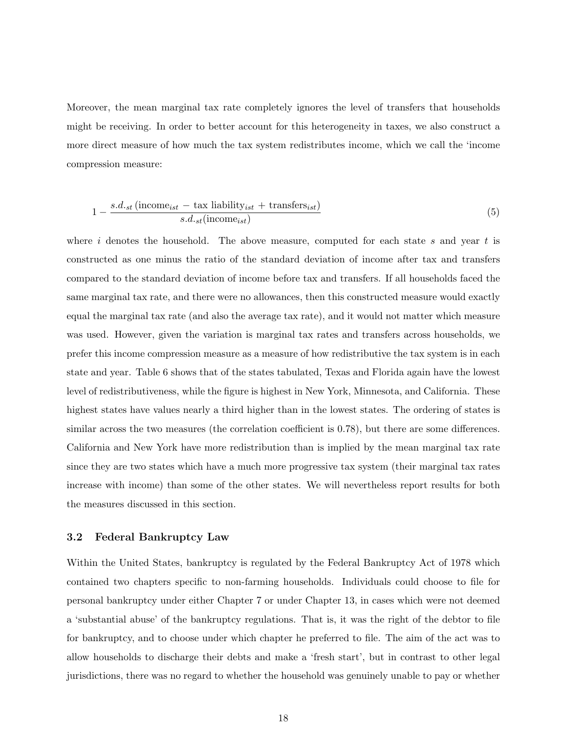Moreover, the mean marginal tax rate completely ignores the level of transfers that households might be receiving. In order to better account for this heterogeneity in taxes, we also construct a more direct measure of how much the tax system redistributes income, which we call the 'income compression measure:

$$
1 - \frac{s.d_{\text{st}}\left(\text{income}_{\text{ist}} - \text{tax liability}_{\text{ist}} + \text{transfer}_{\text{ist}}\right)}{s.d_{\text{st}}\left(\text{income}_{\text{ist}}\right)}\tag{5}
$$

where i denotes the household. The above measure, computed for each state s and year t is constructed as one minus the ratio of the standard deviation of income after tax and transfers compared to the standard deviation of income before tax and transfers. If all households faced the same marginal tax rate, and there were no allowances, then this constructed measure would exactly equal the marginal tax rate (and also the average tax rate), and it would not matter which measure was used. However, given the variation is marginal tax rates and transfers across households, we prefer this income compression measure as a measure of how redistributive the tax system is in each state and year. Table 6 shows that of the states tabulated, Texas and Florida again have the lowest level of redistributiveness, while the figure is highest in New York, Minnesota, and California. These highest states have values nearly a third higher than in the lowest states. The ordering of states is similar across the two measures (the correlation coefficient is 0.78), but there are some differences. California and New York have more redistribution than is implied by the mean marginal tax rate since they are two states which have a much more progressive tax system (their marginal tax rates increase with income) than some of the other states. We will nevertheless report results for both the measures discussed in this section.

#### 3.2 Federal Bankruptcy Law

Within the United States, bankruptcy is regulated by the Federal Bankruptcy Act of 1978 which contained two chapters specific to non-farming households. Individuals could choose to file for personal bankruptcy under either Chapter 7 or under Chapter 13, in cases which were not deemed a 'substantial abuse' of the bankruptcy regulations. That is, it was the right of the debtor to file for bankruptcy, and to choose under which chapter he preferred to file. The aim of the act was to allow households to discharge their debts and make a 'fresh start', but in contrast to other legal jurisdictions, there was no regard to whether the household was genuinely unable to pay or whether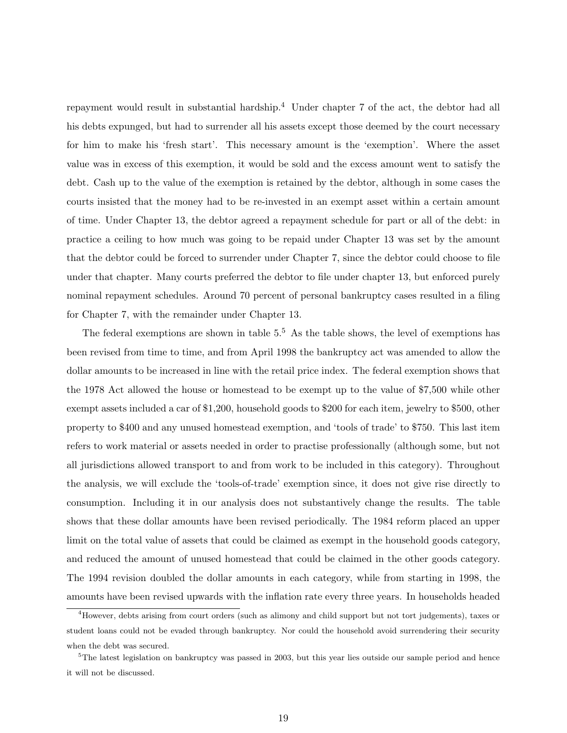repayment would result in substantial hardship.<sup>4</sup> Under chapter 7 of the act, the debtor had all his debts expunged, but had to surrender all his assets except those deemed by the court necessary for him to make his 'fresh start'. This necessary amount is the 'exemption'. Where the asset value was in excess of this exemption, it would be sold and the excess amount went to satisfy the debt. Cash up to the value of the exemption is retained by the debtor, although in some cases the courts insisted that the money had to be re-invested in an exempt asset within a certain amount of time. Under Chapter 13, the debtor agreed a repayment schedule for part or all of the debt: in practice a ceiling to how much was going to be repaid under Chapter 13 was set by the amount that the debtor could be forced to surrender under Chapter 7, since the debtor could choose to file under that chapter. Many courts preferred the debtor to file under chapter 13, but enforced purely nominal repayment schedules. Around 70 percent of personal bankruptcy cases resulted in a filing for Chapter 7, with the remainder under Chapter 13.

The federal exemptions are shown in table  $5<sup>5</sup>$  As the table shows, the level of exemptions has been revised from time to time, and from April 1998 the bankruptcy act was amended to allow the dollar amounts to be increased in line with the retail price index. The federal exemption shows that the 1978 Act allowed the house or homestead to be exempt up to the value of \$7,500 while other exempt assets included a car of \$1,200, household goods to \$200 for each item, jewelry to \$500, other property to \$400 and any unused homestead exemption, and 'tools of trade' to \$750. This last item refers to work material or assets needed in order to practise professionally (although some, but not all jurisdictions allowed transport to and from work to be included in this category). Throughout the analysis, we will exclude the 'tools-of-trade' exemption since, it does not give rise directly to consumption. Including it in our analysis does not substantively change the results. The table shows that these dollar amounts have been revised periodically. The 1984 reform placed an upper limit on the total value of assets that could be claimed as exempt in the household goods category, and reduced the amount of unused homestead that could be claimed in the other goods category. The 1994 revision doubled the dollar amounts in each category, while from starting in 1998, the amounts have been revised upwards with the inflation rate every three years. In households headed

<sup>4</sup>However, debts arising from court orders (such as alimony and child support but not tort judgements), taxes or student loans could not be evaded through bankruptcy. Nor could the household avoid surrendering their security when the debt was secured.

 $5$ The latest legislation on bankruptcy was passed in 2003, but this year lies outside our sample period and hence it will not be discussed.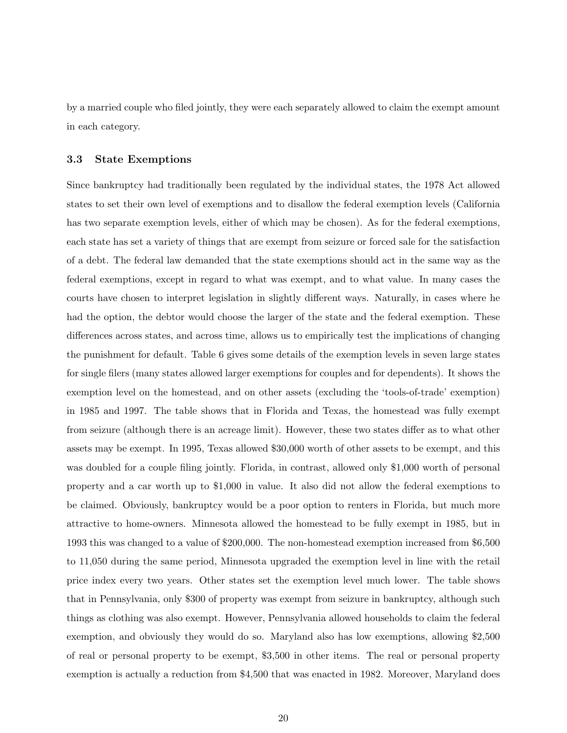by a married couple who filed jointly, they were each separately allowed to claim the exempt amount in each category.

#### 3.3 State Exemptions

Since bankruptcy had traditionally been regulated by the individual states, the 1978 Act allowed states to set their own level of exemptions and to disallow the federal exemption levels (California has two separate exemption levels, either of which may be chosen). As for the federal exemptions, each state has set a variety of things that are exempt from seizure or forced sale for the satisfaction of a debt. The federal law demanded that the state exemptions should act in the same way as the federal exemptions, except in regard to what was exempt, and to what value. In many cases the courts have chosen to interpret legislation in slightly different ways. Naturally, in cases where he had the option, the debtor would choose the larger of the state and the federal exemption. These differences across states, and across time, allows us to empirically test the implications of changing the punishment for default. Table 6 gives some details of the exemption levels in seven large states for single filers (many states allowed larger exemptions for couples and for dependents). It shows the exemption level on the homestead, and on other assets (excluding the 'tools-of-trade' exemption) in 1985 and 1997. The table shows that in Florida and Texas, the homestead was fully exempt from seizure (although there is an acreage limit). However, these two states differ as to what other assets may be exempt. In 1995, Texas allowed \$30,000 worth of other assets to be exempt, and this was doubled for a couple filing jointly. Florida, in contrast, allowed only \$1,000 worth of personal property and a car worth up to \$1,000 in value. It also did not allow the federal exemptions to be claimed. Obviously, bankruptcy would be a poor option to renters in Florida, but much more attractive to home-owners. Minnesota allowed the homestead to be fully exempt in 1985, but in 1993 this was changed to a value of \$200,000. The non-homestead exemption increased from \$6,500 to 11,050 during the same period, Minnesota upgraded the exemption level in line with the retail price index every two years. Other states set the exemption level much lower. The table shows that in Pennsylvania, only \$300 of property was exempt from seizure in bankruptcy, although such things as clothing was also exempt. However, Pennsylvania allowed households to claim the federal exemption, and obviously they would do so. Maryland also has low exemptions, allowing \$2,500 of real or personal property to be exempt, \$3,500 in other items. The real or personal property exemption is actually a reduction from \$4,500 that was enacted in 1982. Moreover, Maryland does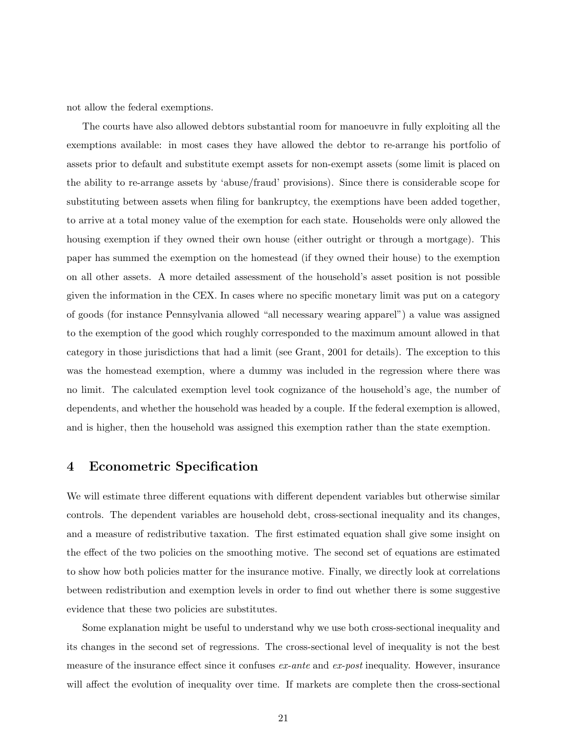not allow the federal exemptions.

The courts have also allowed debtors substantial room for manoeuvre in fully exploiting all the exemptions available: in most cases they have allowed the debtor to re-arrange his portfolio of assets prior to default and substitute exempt assets for non-exempt assets (some limit is placed on the ability to re-arrange assets by 'abuse/fraud' provisions). Since there is considerable scope for substituting between assets when filing for bankruptcy, the exemptions have been added together, to arrive at a total money value of the exemption for each state. Households were only allowed the housing exemption if they owned their own house (either outright or through a mortgage). This paper has summed the exemption on the homestead (if they owned their house) to the exemption on all other assets. A more detailed assessment of the household's asset position is not possible given the information in the CEX. In cases where no specific monetary limit was put on a category of goods (for instance Pennsylvania allowed "all necessary wearing apparel") a value was assigned to the exemption of the good which roughly corresponded to the maximum amount allowed in that category in those jurisdictions that had a limit (see Grant, 2001 for details). The exception to this was the homestead exemption, where a dummy was included in the regression where there was no limit. The calculated exemption level took cognizance of the household's age, the number of dependents, and whether the household was headed by a couple. If the federal exemption is allowed, and is higher, then the household was assigned this exemption rather than the state exemption.

### 4 Econometric Specification

We will estimate three different equations with different dependent variables but otherwise similar controls. The dependent variables are household debt, cross-sectional inequality and its changes, and a measure of redistributive taxation. The first estimated equation shall give some insight on the effect of the two policies on the smoothing motive. The second set of equations are estimated to show how both policies matter for the insurance motive. Finally, we directly look at correlations between redistribution and exemption levels in order to find out whether there is some suggestive evidence that these two policies are substitutes.

Some explanation might be useful to understand why we use both cross-sectional inequality and its changes in the second set of regressions. The cross-sectional level of inequality is not the best measure of the insurance effect since it confuses ex-ante and ex-post inequality. However, insurance will affect the evolution of inequality over time. If markets are complete then the cross-sectional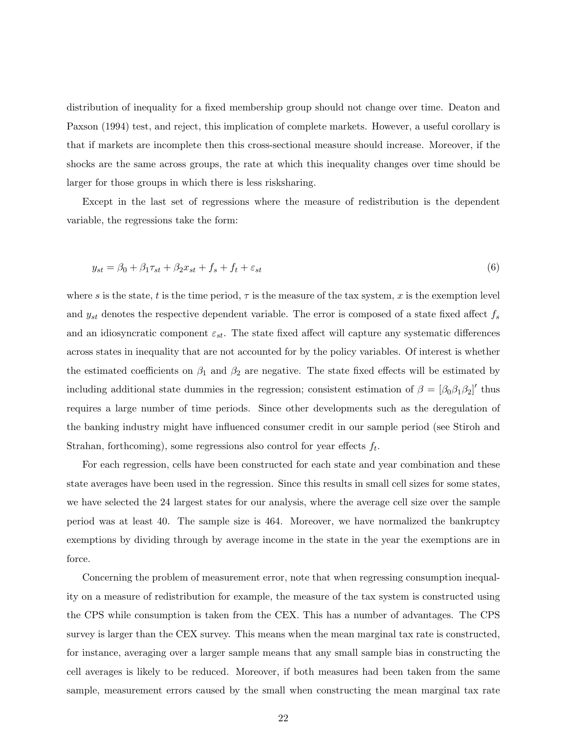distribution of inequality for a fixed membership group should not change over time. Deaton and Paxson (1994) test, and reject, this implication of complete markets. However, a useful corollary is that if markets are incomplete then this cross-sectional measure should increase. Moreover, if the shocks are the same across groups, the rate at which this inequality changes over time should be larger for those groups in which there is less risksharing.

Except in the last set of regressions where the measure of redistribution is the dependent variable, the regressions take the form:

$$
y_{st} = \beta_0 + \beta_1 \tau_{st} + \beta_2 x_{st} + f_s + f_t + \varepsilon_{st} \tag{6}
$$

where s is the state, t is the time period,  $\tau$  is the measure of the tax system, x is the exemption level and  $y_{st}$  denotes the respective dependent variable. The error is composed of a state fixed affect  $f_s$ and an idiosyncratic component  $\varepsilon_{st}$ . The state fixed affect will capture any systematic differences across states in inequality that are not accounted for by the policy variables. Of interest is whether the estimated coefficients on  $\beta_1$  and  $\beta_2$  are negative. The state fixed effects will be estimated by including additional state dummies in the regression; consistent estimation of  $\beta = [\beta_0 \beta_1 \beta_2]'$  thus requires a large number of time periods. Since other developments such as the deregulation of the banking industry might have influenced consumer credit in our sample period (see Stiroh and Strahan, forthcoming), some regressions also control for year effects  $f_t$ .

For each regression, cells have been constructed for each state and year combination and these state averages have been used in the regression. Since this results in small cell sizes for some states, we have selected the 24 largest states for our analysis, where the average cell size over the sample period was at least 40. The sample size is 464. Moreover, we have normalized the bankruptcy exemptions by dividing through by average income in the state in the year the exemptions are in force.

Concerning the problem of measurement error, note that when regressing consumption inequality on a measure of redistribution for example, the measure of the tax system is constructed using the CPS while consumption is taken from the CEX. This has a number of advantages. The CPS survey is larger than the CEX survey. This means when the mean marginal tax rate is constructed, for instance, averaging over a larger sample means that any small sample bias in constructing the cell averages is likely to be reduced. Moreover, if both measures had been taken from the same sample, measurement errors caused by the small when constructing the mean marginal tax rate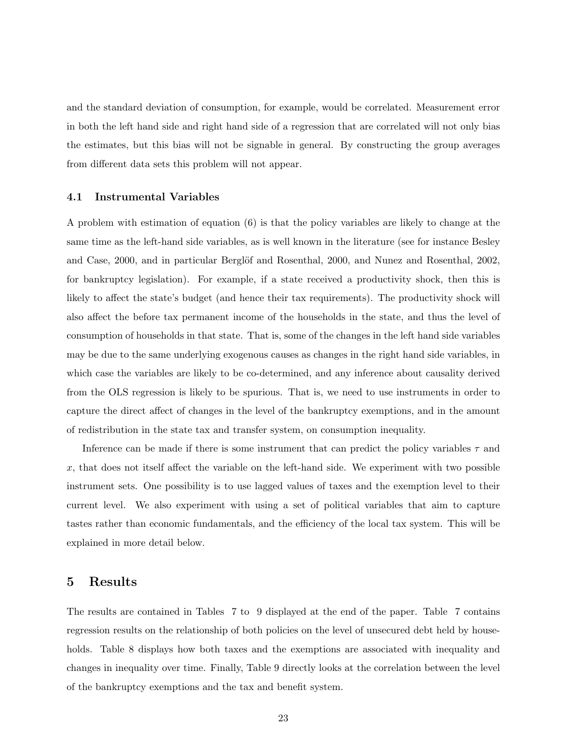and the standard deviation of consumption, for example, would be correlated. Measurement error in both the left hand side and right hand side of a regression that are correlated will not only bias the estimates, but this bias will not be signable in general. By constructing the group averages from different data sets this problem will not appear.

#### 4.1 Instrumental Variables

A problem with estimation of equation (6) is that the policy variables are likely to change at the same time as the left-hand side variables, as is well known in the literature (see for instance Besley and Case, 2000, and in particular Berglöf and Rosenthal, 2000, and Nunez and Rosenthal, 2002, for bankruptcy legislation). For example, if a state received a productivity shock, then this is likely to affect the state's budget (and hence their tax requirements). The productivity shock will also affect the before tax permanent income of the households in the state, and thus the level of consumption of households in that state. That is, some of the changes in the left hand side variables may be due to the same underlying exogenous causes as changes in the right hand side variables, in which case the variables are likely to be co-determined, and any inference about causality derived from the OLS regression is likely to be spurious. That is, we need to use instruments in order to capture the direct affect of changes in the level of the bankruptcy exemptions, and in the amount of redistribution in the state tax and transfer system, on consumption inequality.

Inference can be made if there is some instrument that can predict the policy variables  $\tau$  and  $x$ , that does not itself affect the variable on the left-hand side. We experiment with two possible instrument sets. One possibility is to use lagged values of taxes and the exemption level to their current level. We also experiment with using a set of political variables that aim to capture tastes rather than economic fundamentals, and the efficiency of the local tax system. This will be explained in more detail below.

### 5 Results

The results are contained in Tables 7 to 9 displayed at the end of the paper. Table 7 contains regression results on the relationship of both policies on the level of unsecured debt held by households. Table 8 displays how both taxes and the exemptions are associated with inequality and changes in inequality over time. Finally, Table 9 directly looks at the correlation between the level of the bankruptcy exemptions and the tax and benefit system.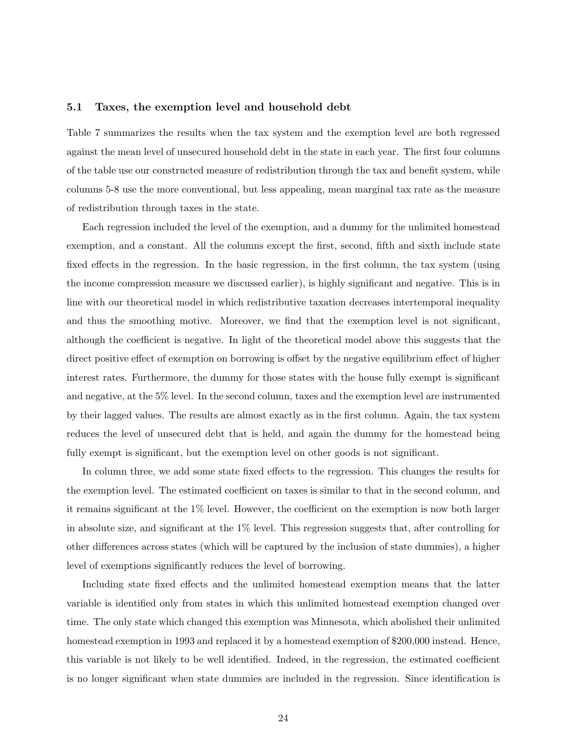#### 5.1 Taxes, the exemption level and household debt

Table 7 summarizes the results when the tax system and the exemption level are both regressed against the mean level of unsecured household debt in the state in each year. The first four columns of the table use our constructed measure of redistribution through the tax and benefit system, while columns 5-8 use the more conventional, but less appealing, mean marginal tax rate as the measure of redistribution through taxes in the state.

Each regression included the level of the exemption, and a dummy for the unlimited homestead exemption, and a constant. All the columns except the first, second, fifth and sixth include state fixed effects in the regression. In the basic regression, in the first column, the tax system (using the income compression measure we discussed earlier), is highly significant and negative. This is in line with our theoretical model in which redistributive taxation decreases intertemporal inequality and thus the smoothing motive. Moreover, we find that the exemption level is not significant, although the coefficient is negative. In light of the theoretical model above this suggests that the direct positive effect of exemption on borrowing is offset by the negative equilibrium effect of higher interest rates. Furthermore, the dummy for those states with the house fully exempt is significant and negative, at the 5% level. In the second column, taxes and the exemption level are instrumented by their lagged values. The results are almost exactly as in the first column. Again, the tax system reduces the level of unsecured debt that is held, and again the dummy for the homestead being fully exempt is significant, but the exemption level on other goods is not significant.

In column three, we add some state fixed effects to the regression. This changes the results for the exemption level. The estimated coefficient on taxes is similar to that in the second column, and it remains significant at the 1% level. However, the coefficient on the exemption is now both larger in absolute size, and significant at the 1% level. This regression suggests that, after controlling for other differences across states (which will be captured by the inclusion of state dummies), a higher level of exemptions significantly reduces the level of borrowing.

Including state fixed effects and the unlimited homestead exemption means that the latter variable is identified only from states in which this unlimited homestead exemption changed over time. The only state which changed this exemption was Minnesota, which abolished their unlimited homestead exemption in 1993 and replaced it by a homestead exemption of \$200,000 instead. Hence, this variable is not likely to be well identified. Indeed, in the regression, the estimated coefficient is no longer significant when state dummies are included in the regression. Since identification is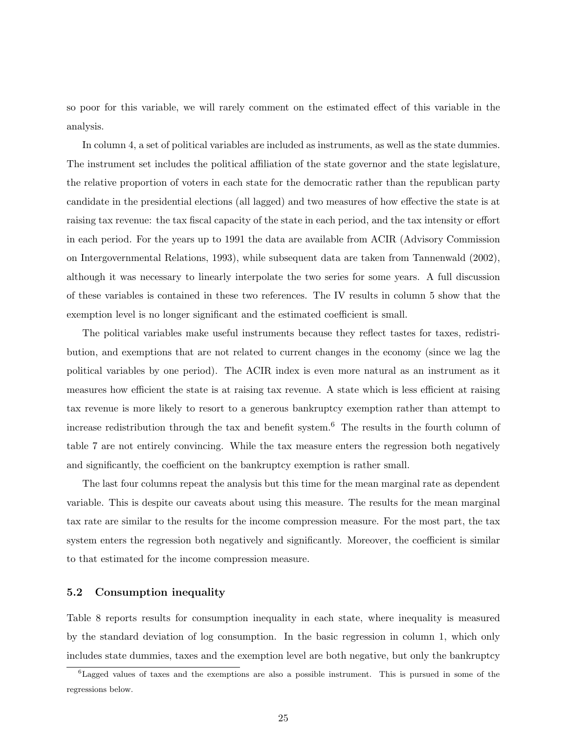so poor for this variable, we will rarely comment on the estimated effect of this variable in the analysis.

In column 4, a set of political variables are included as instruments, as well as the state dummies. The instrument set includes the political affiliation of the state governor and the state legislature, the relative proportion of voters in each state for the democratic rather than the republican party candidate in the presidential elections (all lagged) and two measures of how effective the state is at raising tax revenue: the tax fiscal capacity of the state in each period, and the tax intensity or effort in each period. For the years up to 1991 the data are available from ACIR (Advisory Commission on Intergovernmental Relations, 1993), while subsequent data are taken from Tannenwald (2002), although it was necessary to linearly interpolate the two series for some years. A full discussion of these variables is contained in these two references. The IV results in column 5 show that the exemption level is no longer significant and the estimated coefficient is small.

The political variables make useful instruments because they reflect tastes for taxes, redistribution, and exemptions that are not related to current changes in the economy (since we lag the political variables by one period). The ACIR index is even more natural as an instrument as it measures how efficient the state is at raising tax revenue. A state which is less efficient at raising tax revenue is more likely to resort to a generous bankruptcy exemption rather than attempt to increase redistribution through the tax and benefit system.<sup>6</sup> The results in the fourth column of table 7 are not entirely convincing. While the tax measure enters the regression both negatively and significantly, the coefficient on the bankruptcy exemption is rather small.

The last four columns repeat the analysis but this time for the mean marginal rate as dependent variable. This is despite our caveats about using this measure. The results for the mean marginal tax rate are similar to the results for the income compression measure. For the most part, the tax system enters the regression both negatively and significantly. Moreover, the coefficient is similar to that estimated for the income compression measure.

#### 5.2 Consumption inequality

Table 8 reports results for consumption inequality in each state, where inequality is measured by the standard deviation of log consumption. In the basic regression in column 1, which only includes state dummies, taxes and the exemption level are both negative, but only the bankruptcy

 ${}^{6}$ Lagged values of taxes and the exemptions are also a possible instrument. This is pursued in some of the regressions below.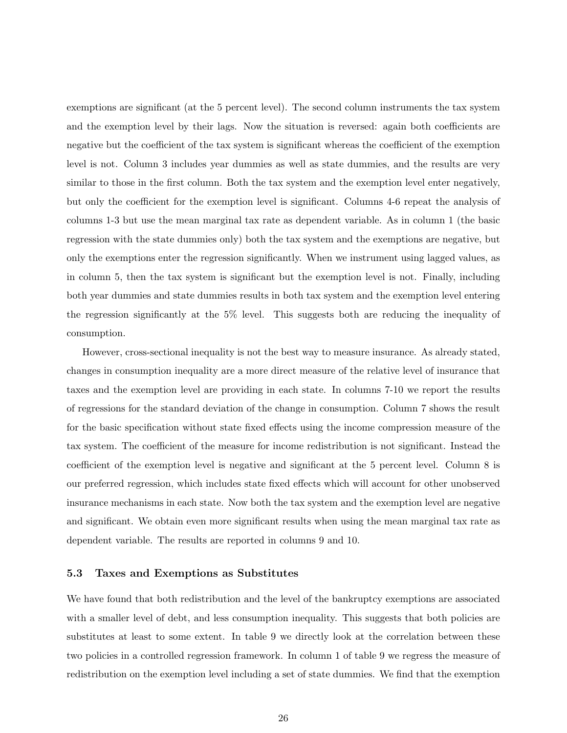exemptions are significant (at the 5 percent level). The second column instruments the tax system and the exemption level by their lags. Now the situation is reversed: again both coefficients are negative but the coefficient of the tax system is significant whereas the coefficient of the exemption level is not. Column 3 includes year dummies as well as state dummies, and the results are very similar to those in the first column. Both the tax system and the exemption level enter negatively, but only the coefficient for the exemption level is significant. Columns 4-6 repeat the analysis of columns 1-3 but use the mean marginal tax rate as dependent variable. As in column 1 (the basic regression with the state dummies only) both the tax system and the exemptions are negative, but only the exemptions enter the regression significantly. When we instrument using lagged values, as in column 5, then the tax system is significant but the exemption level is not. Finally, including both year dummies and state dummies results in both tax system and the exemption level entering the regression significantly at the 5% level. This suggests both are reducing the inequality of consumption.

However, cross-sectional inequality is not the best way to measure insurance. As already stated, changes in consumption inequality are a more direct measure of the relative level of insurance that taxes and the exemption level are providing in each state. In columns 7-10 we report the results of regressions for the standard deviation of the change in consumption. Column 7 shows the result for the basic specification without state fixed effects using the income compression measure of the tax system. The coefficient of the measure for income redistribution is not significant. Instead the coefficient of the exemption level is negative and significant at the 5 percent level. Column 8 is our preferred regression, which includes state fixed effects which will account for other unobserved insurance mechanisms in each state. Now both the tax system and the exemption level are negative and significant. We obtain even more significant results when using the mean marginal tax rate as dependent variable. The results are reported in columns 9 and 10.

#### 5.3 Taxes and Exemptions as Substitutes

We have found that both redistribution and the level of the bankruptcy exemptions are associated with a smaller level of debt, and less consumption inequality. This suggests that both policies are substitutes at least to some extent. In table 9 we directly look at the correlation between these two policies in a controlled regression framework. In column 1 of table 9 we regress the measure of redistribution on the exemption level including a set of state dummies. We find that the exemption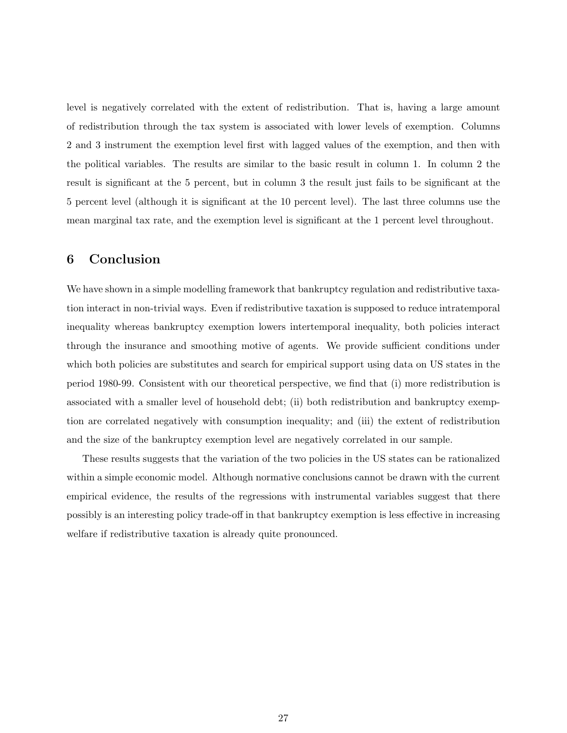level is negatively correlated with the extent of redistribution. That is, having a large amount of redistribution through the tax system is associated with lower levels of exemption. Columns 2 and 3 instrument the exemption level first with lagged values of the exemption, and then with the political variables. The results are similar to the basic result in column 1. In column 2 the result is significant at the 5 percent, but in column 3 the result just fails to be significant at the 5 percent level (although it is significant at the 10 percent level). The last three columns use the mean marginal tax rate, and the exemption level is significant at the 1 percent level throughout.

# 6 Conclusion

We have shown in a simple modelling framework that bankruptcy regulation and redistributive taxation interact in non-trivial ways. Even if redistributive taxation is supposed to reduce intratemporal inequality whereas bankruptcy exemption lowers intertemporal inequality, both policies interact through the insurance and smoothing motive of agents. We provide sufficient conditions under which both policies are substitutes and search for empirical support using data on US states in the period 1980-99. Consistent with our theoretical perspective, we find that (i) more redistribution is associated with a smaller level of household debt; (ii) both redistribution and bankruptcy exemption are correlated negatively with consumption inequality; and (iii) the extent of redistribution and the size of the bankruptcy exemption level are negatively correlated in our sample.

These results suggests that the variation of the two policies in the US states can be rationalized within a simple economic model. Although normative conclusions cannot be drawn with the current empirical evidence, the results of the regressions with instrumental variables suggest that there possibly is an interesting policy trade-off in that bankruptcy exemption is less effective in increasing welfare if redistributive taxation is already quite pronounced.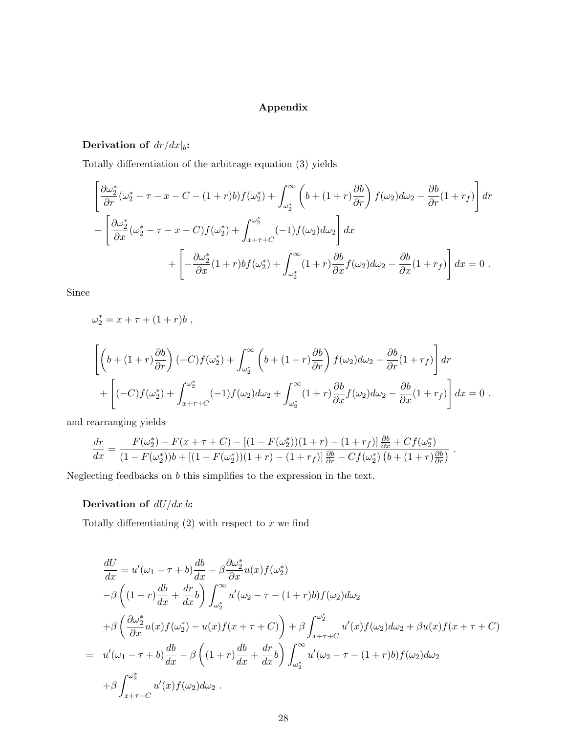### Appendix

# Derivation of  $dr/dx|_b$ :

Totally differentiation of the arbitrage equation (3) yields

$$
\left[\frac{\partial \omega_2^*}{\partial r}(\omega_2^* - \tau - x - C - (1+r)b)f(\omega_2^*) + \int_{\omega_2^*}^{\infty} \left(b + (1+r)\frac{\partial b}{\partial r}\right)f(\omega_2)d\omega_2 - \frac{\partial b}{\partial r}(1+r_f)\right]dr
$$
  
+ 
$$
\left[\frac{\partial \omega_2^*}{\partial x}(\omega_2^* - \tau - x - C)f(\omega_2^*) + \int_{x+\tau+C}^{\omega_2^*} (-1)f(\omega_2)d\omega_2\right]dx
$$
  
+ 
$$
\left[-\frac{\partial \omega_2^*}{\partial x}(1+r)bf(\omega_2^*) + \int_{\omega_2^*}^{\infty} (1+r)\frac{\partial b}{\partial x}f(\omega_2)d\omega_2 - \frac{\partial b}{\partial x}(1+r_f)\right]dx = 0.
$$

Since

$$
\omega_2^* = x + \tau + (1+r)b,
$$

$$
\left[ \left( b + (1+r)\frac{\partial b}{\partial r} \right) (-C) f(\omega_2^*) + \int_{\omega_2^*}^{\infty} \left( b + (1+r)\frac{\partial b}{\partial r} \right) f(\omega_2) d\omega_2 - \frac{\partial b}{\partial r} (1+r_f) \right] dr + \left[ (-C) f(\omega_2^*) + \int_{x+\tau+C}^{\omega_2^*} (-1) f(\omega_2) d\omega_2 + \int_{\omega_2^*}^{\infty} (1+r) \frac{\partial b}{\partial x} f(\omega_2) d\omega_2 - \frac{\partial b}{\partial x} (1+r_f) \right] dx = 0.
$$

and rearranging yields

$$
\frac{dr}{dx} = \frac{F(\omega_2^*) - F(x + \tau + C) - [(1 - F(\omega_2^*)) (1 + r) - (1 + r_f)] \frac{\partial b}{\partial x} + Cf(\omega_2^*)}{(1 - F(\omega_2^*)) b + [(1 - F(\omega_2^*)) (1 + r) - (1 + r_f)] \frac{\partial b}{\partial r} - Cf(\omega_2^*) (b + (1 + r) \frac{\partial b}{\partial r})}.
$$

Neglecting feedbacks on  $\boldsymbol{b}$  this simplifies to the expression in the text.

### Derivation of  $dU/dx|b$ :

Totally differentiating  $(2)$  with respect to x we find

$$
\frac{dU}{dx} = u'(\omega_1 - \tau + b) \frac{db}{dx} - \beta \frac{\partial \omega_2^*}{\partial x} u(x) f(\omega_2^*)
$$
  
\n
$$
-\beta \left( (1+r) \frac{db}{dx} + \frac{dr}{dx} b \right) \int_{\omega_2^*}^{\infty} u'(\omega_2 - \tau - (1+r)b) f(\omega_2) d\omega_2
$$
  
\n
$$
+\beta \left( \frac{\partial \omega_2^*}{\partial x} u(x) f(\omega_2^*) - u(x) f(x+\tau+C) \right) + \beta \int_{x+\tau+C}^{\omega_2^*} u'(x) f(\omega_2) d\omega_2 + \beta u(x) f(x+\tau+C)
$$
  
\n
$$
= u'(\omega_1 - \tau + b) \frac{db}{dx} - \beta \left( (1+r) \frac{db}{dx} + \frac{dr}{dx} b \right) \int_{\omega_2^*}^{\infty} u'(\omega_2 - \tau - (1+r)b) f(\omega_2) d\omega_2
$$
  
\n
$$
+ \beta \int_{x+\tau+C}^{\omega_2^*} u'(x) f(\omega_2) d\omega_2.
$$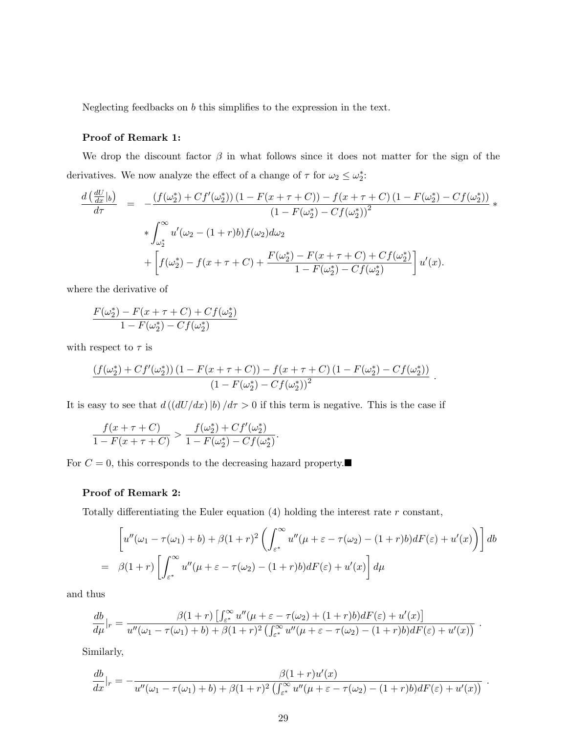Neglecting feedbacks on b this simplifies to the expression in the text.

### Proof of Remark 1:

We drop the discount factor  $\beta$  in what follows since it does not matter for the sign of the derivatives. We now analyze the effect of a change of  $\tau$  for  $\omega_2 \leq \omega_2^*$ :

$$
\frac{d\left(\frac{dU}{dx}|_b\right)}{d\tau} = -\frac{\left(f(\omega_2^*) + Cf'(\omega_2^*)\right)\left(1 - F(x + \tau + C)\right) - f(x + \tau + C)\left(1 - F(\omega_2^*) - Cf(\omega_2^*)\right)}{\left(1 - F(\omega_2^*) - Cf(\omega_2^*)\right)^2} * \int_{\omega_2^*}^{\infty} u'(\omega_2 - (1+r)b)f(\omega_2)d\omega_2 + \left[f(\omega_2^*) - f(x + \tau + C) + \frac{F(\omega_2^*) - F(x + \tau + C) + Cf(\omega_2^*)}{1 - F(\omega_2^*) - Cf(\omega_2^*)}\right]u'(x).
$$

where the derivative of

$$
\frac{F(\omega_2^*) - F(x + \tau + C) + Cf(\omega_2^*)}{1 - F(\omega_2^*) - Cf(\omega_2^*)}
$$

with respect to  $\tau$  is

$$
\frac{\left(f(\omega_2^*)+Cf'(\omega_2^*)\right)\left(1-F(x+\tau+C)\right)-f(x+\tau+C)\left(1-F(\omega_2^*)-Cf(\omega_2^*)\right)}{\left(1-F(\omega_2^*)-Cf(\omega_2^*)\right)^2}
$$

It is easy to see that  $d((dU/dx)|b)/d\tau > 0$  if this term is negative. This is the case if

$$
\frac{f(x+\tau+C)}{1-F(x+\tau+C)} > \frac{f(\omega_2^*) + Cf'(\omega_2^*)}{1-F(\omega_2^*) - Cf(\omega_2^*)}.
$$

For  $C = 0$ , this corresponds to the decreasing hazard property.

#### Proof of Remark 2:

Totally differentiating the Euler equation  $(4)$  holding the interest rate r constant,

$$
\left[ u''(\omega_1 - \tau(\omega_1) + b) + \beta (1+r)^2 \left( \int_{\varepsilon^*}^{\infty} u''(\mu + \varepsilon - \tau(\omega_2) - (1+r)b) dF(\varepsilon) + u'(x) \right) \right] db
$$
  
=  $\beta (1+r) \left[ \int_{\varepsilon^*}^{\infty} u''(\mu + \varepsilon - \tau(\omega_2) - (1+r)b) dF(\varepsilon) + u'(x) \right] d\mu$ 

.

and thus

$$
\frac{db}{d\mu}\Big|_r = \frac{\beta(1+r)\left[\int_{\varepsilon^*}^\infty u''(\mu+\varepsilon-\tau(\omega_2)+(1+r)b)dF(\varepsilon)+u'(x)\right]}{u''(\omega_1-\tau(\omega_1)+b)+\beta(1+r)^2\left(\int_{\varepsilon^*}^\infty u''(\mu+\varepsilon-\tau(\omega_2)-(1+r)b)dF(\varepsilon)+u'(x)\right)}.
$$

Similarly,

$$
\frac{db}{dx}\big|_{r} = -\frac{\beta(1+r)u'(x)}{u''(\omega_1 - \tau(\omega_1) + b) + \beta(1+r)^2 \left(\int_{\varepsilon^*}^{\infty} u''(\mu + \varepsilon - \tau(\omega_2) - (1+r)b\right) dF(\varepsilon) + u'(x)\right)}.
$$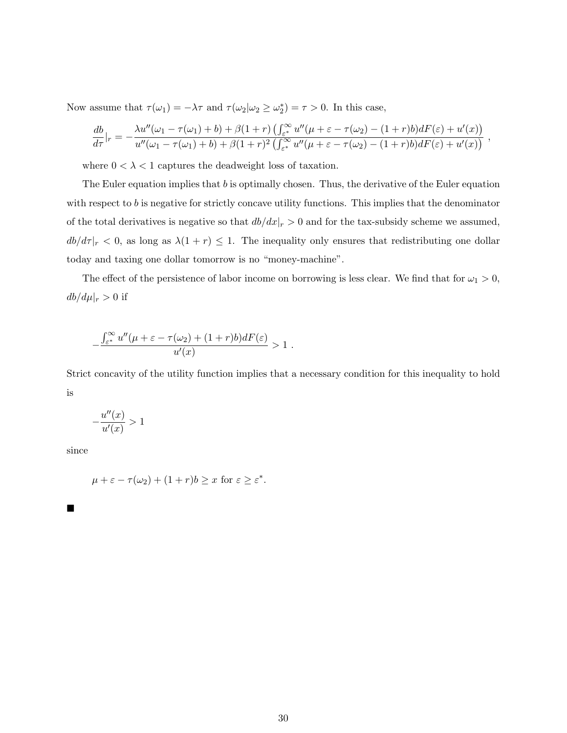Now assume that  $\tau(\omega_1) = -\lambda \tau$  and  $\tau(\omega_2|\omega_2 \ge \omega_2^*) = \tau > 0$ . In this case,

$$
\frac{db}{d\tau}\Big|_{r} = -\frac{\lambda u''(\omega_1 - \tau(\omega_1) + b) + \beta(1+r)\left(\int_{\varepsilon^*}^{\infty} u''(\mu + \varepsilon - \tau(\omega_2) - (1+r)b\right)dF(\varepsilon) + u'(x))}{u''(\omega_1 - \tau(\omega_1) + b) + \beta(1+r)^2\left(\int_{\varepsilon^*}^{\infty} u''(\mu + \varepsilon - \tau(\omega_2) - (1+r)b\right)dF(\varepsilon) + u'(x))},
$$

where  $0 < \lambda < 1$  captures the deadweight loss of taxation.

The Euler equation implies that  $b$  is optimally chosen. Thus, the derivative of the Euler equation with respect to  $b$  is negative for strictly concave utility functions. This implies that the denominator of the total derivatives is negative so that  $db/dx|_r > 0$  and for the tax-subsidy scheme we assumed,  $db/d\tau |_{r} < 0$ , as long as  $\lambda(1+r) \leq 1$ . The inequality only ensures that redistributing one dollar today and taxing one dollar tomorrow is no "money-machine".

The effect of the persistence of labor income on borrowing is less clear. We find that for  $\omega_1 > 0$ ,  $db/d\mu|_r > 0$  if

$$
-\frac{\int_{\varepsilon^*}^{\infty} u''(\mu+\varepsilon-\tau(\omega_2)+(1+r)b)dF(\varepsilon)}{u'(x)} > 1.
$$

Strict concavity of the utility function implies that a necessary condition for this inequality to hold is

$$
-\frac{u''(x)}{u'(x)} > 1
$$

since

$$
\mu + \varepsilon - \tau(\omega_2) + (1+r)b \ge x \text{ for } \varepsilon \ge \varepsilon^*.
$$

 $\blacksquare$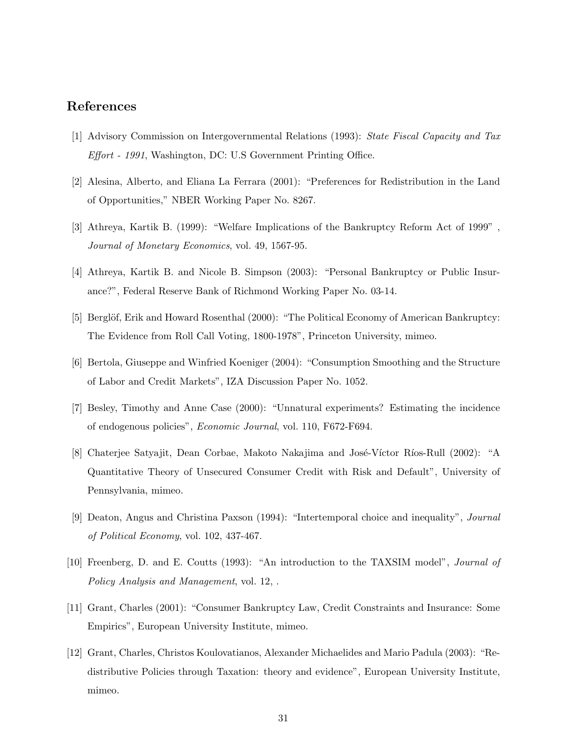# References

- [1] Advisory Commission on Intergovernmental Relations (1993): State Fiscal Capacity and Tax Effort - 1991, Washington, DC: U.S Government Printing Office.
- [2] Alesina, Alberto, and Eliana La Ferrara (2001): "Preferences for Redistribution in the Land of Opportunities," NBER Working Paper No. 8267.
- [3] Athreya, Kartik B. (1999): "Welfare Implications of the Bankruptcy Reform Act of 1999" , Journal of Monetary Economics, vol. 49, 1567-95.
- [4] Athreya, Kartik B. and Nicole B. Simpson (2003): "Personal Bankruptcy or Public Insurance?", Federal Reserve Bank of Richmond Working Paper No. 03-14.
- [5] Berglöf, Erik and Howard Rosenthal (2000): "The Political Economy of American Bankruptcy: The Evidence from Roll Call Voting, 1800-1978", Princeton University, mimeo.
- [6] Bertola, Giuseppe and Winfried Koeniger (2004): "Consumption Smoothing and the Structure of Labor and Credit Markets", IZA Discussion Paper No. 1052.
- [7] Besley, Timothy and Anne Case (2000): "Unnatural experiments? Estimating the incidence of endogenous policies", Economic Journal, vol. 110, F672-F694.
- [8] Chaterjee Satyajit, Dean Corbae, Makoto Nakajima and José-Víctor Ríos-Rull (2002): "A Quantitative Theory of Unsecured Consumer Credit with Risk and Default", University of Pennsylvania, mimeo.
- [9] Deaton, Angus and Christina Paxson (1994): "Intertemporal choice and inequality", Journal of Political Economy, vol. 102, 437-467.
- [10] Freenberg, D. and E. Coutts (1993): "An introduction to the TAXSIM model", Journal of Policy Analysis and Management, vol. 12, .
- [11] Grant, Charles (2001): "Consumer Bankruptcy Law, Credit Constraints and Insurance: Some Empirics", European University Institute, mimeo.
- [12] Grant, Charles, Christos Koulovatianos, Alexander Michaelides and Mario Padula (2003): "Redistributive Policies through Taxation: theory and evidence", European University Institute, mimeo.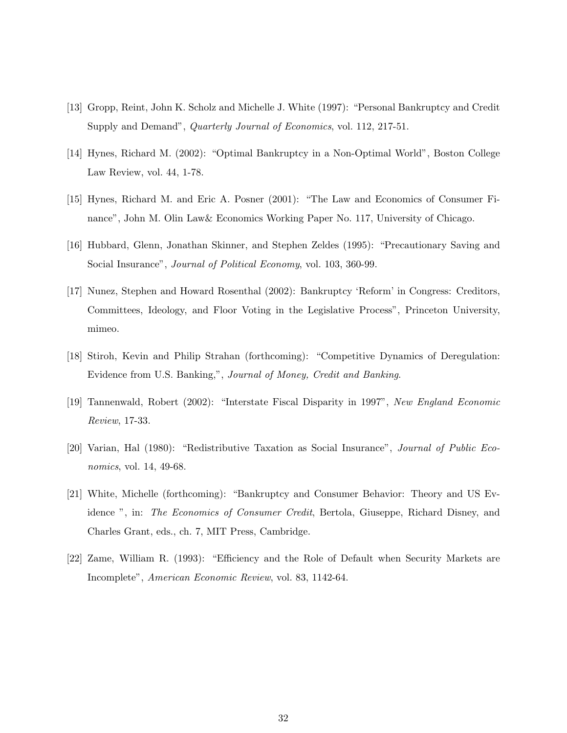- [13] Gropp, Reint, John K. Scholz and Michelle J. White (1997): "Personal Bankruptcy and Credit Supply and Demand", *Quarterly Journal of Economics*, vol. 112, 217-51.
- [14] Hynes, Richard M. (2002): "Optimal Bankruptcy in a Non-Optimal World", Boston College Law Review, vol. 44, 1-78.
- [15] Hynes, Richard M. and Eric A. Posner (2001): "The Law and Economics of Consumer Finance", John M. Olin Law& Economics Working Paper No. 117, University of Chicago.
- [16] Hubbard, Glenn, Jonathan Skinner, and Stephen Zeldes (1995): "Precautionary Saving and Social Insurance", *Journal of Political Economy*, vol. 103, 360-99.
- [17] Nunez, Stephen and Howard Rosenthal (2002): Bankruptcy 'Reform' in Congress: Creditors, Committees, Ideology, and Floor Voting in the Legislative Process", Princeton University, mimeo.
- [18] Stiroh, Kevin and Philip Strahan (forthcoming): "Competitive Dynamics of Deregulation: Evidence from U.S. Banking,", Journal of Money, Credit and Banking.
- [19] Tannenwald, Robert (2002): "Interstate Fiscal Disparity in 1997", New England Economic Review, 17-33.
- [20] Varian, Hal (1980): "Redistributive Taxation as Social Insurance", Journal of Public Economics, vol. 14, 49-68.
- [21] White, Michelle (forthcoming): "Bankruptcy and Consumer Behavior: Theory and US Evidence ", in: The Economics of Consumer Credit, Bertola, Giuseppe, Richard Disney, and Charles Grant, eds., ch. 7, MIT Press, Cambridge.
- [22] Zame, William R. (1993): "Efficiency and the Role of Default when Security Markets are Incomplete", American Economic Review, vol. 83, 1142-64.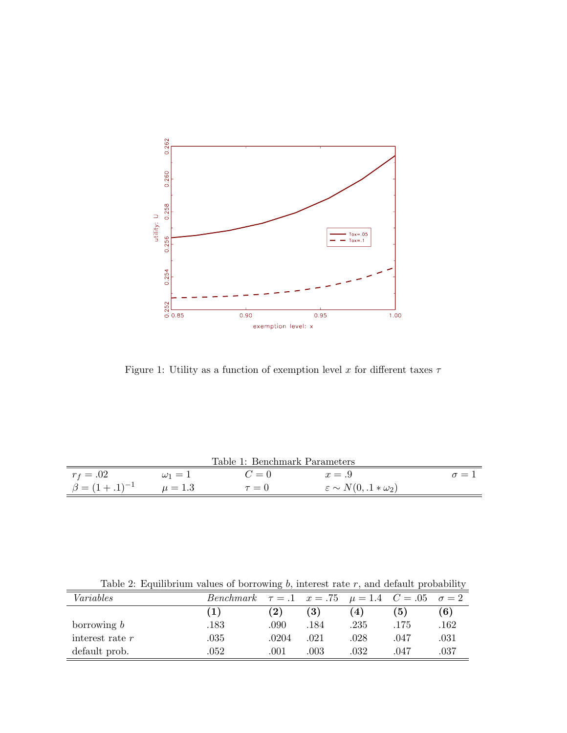

Figure 1: Utility as a function of exemption level x for different taxes  $\tau$ 

|                                     |              | Table 1: Benchmark Parameters |                                      |              |
|-------------------------------------|--------------|-------------------------------|--------------------------------------|--------------|
| $r_f = .02$                         | $\omega_1=1$ | $C=0$                         | $x = .9$                             | $\sigma = 1$ |
| $\beta = (1 + .1)^{-1}$ $\mu = 1.3$ |              | $\tau = 0$                    | $\varepsilon \sim N(0, .1*\omega_2)$ |              |

Table 2: Equilibrium values of borrowing  $b$ , interest rate  $r$ , and default probability

| Variables         | <i>Benchmark</i> $\tau = .1$ $x = .75$ $\mu = 1.4$ $C = .05$ $\sigma = 2$ |       |      |                    |      |      |
|-------------------|---------------------------------------------------------------------------|-------|------|--------------------|------|------|
|                   | (1)                                                                       | (2)   | (3)  | $\left( 4 \right)$ | (5)  | (6)  |
| borrowing $b$     | .183                                                                      | .090  | .184 | .235               | .175 | .162 |
| interest rate $r$ | $.035\,$                                                                  | .0204 | .021 | .028               | .047 | .031 |
| default prob.     | .052                                                                      | .001  | .003 | .032               | .047 | .037 |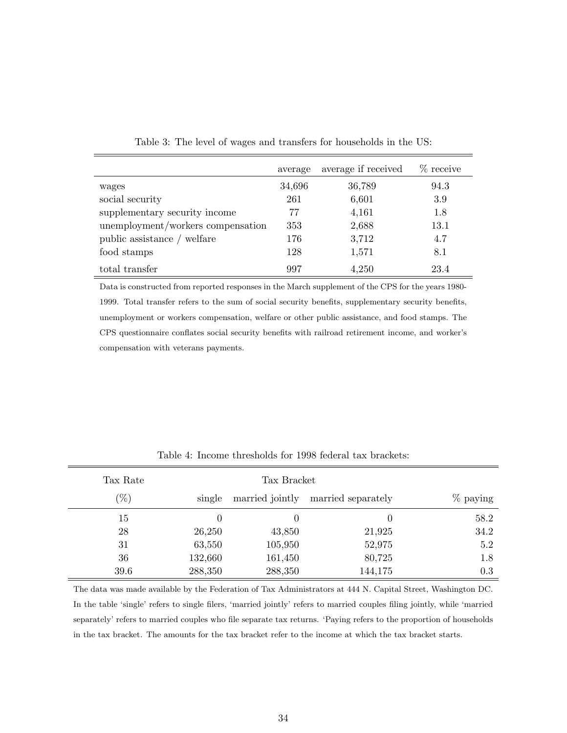|                                   | average | average if received | $\%$ receive |
|-----------------------------------|---------|---------------------|--------------|
| wages                             | 34,696  | 36,789              | 94.3         |
| social security                   | 261     | 6,601               | 3.9          |
| supplementary security income     | 77      | 4,161               | 1.8          |
| unemployment/workers compensation | 353     | 2,688               | 13.1         |
| public assistance / welfare       | 176     | 3,712               | 4.7          |
| food stamps                       | 128     | 1,571               | 8.1          |
| total transfer                    | 997     | 4,250               | 23.4         |

Table 3: The level of wages and transfers for households in the US:

Data is constructed from reported responses in the March supplement of the CPS for the years 1980- 1999. Total transfer refers to the sum of social security benefits, supplementary security benefits, unemployment or workers compensation, welfare or other public assistance, and food stamps. The CPS questionnaire conflates social security benefits with railroad retirement income, and worker's compensation with veterans payments.

| Tax Rate          |         | Tax Bracket     |                    |             |
|-------------------|---------|-----------------|--------------------|-------------|
| $\mathcal{C}_{0}$ | single  | married jointly | married separately | $\%$ paying |
| 15                | 0       |                 |                    | 58.2        |
| 28                | 26,250  | 43,850          | 21,925             | 34.2        |
| 31                | 63,550  | 105,950         | 52,975             | 5.2         |
| 36                | 132,660 | 161,450         | 80,725             | 1.8         |
| 39.6              | 288,350 | 288,350         | 144,175            | 0.3         |

Table 4: Income thresholds for 1998 federal tax brackets:

The data was made available by the Federation of Tax Administrators at 444 N. Capital Street, Washington DC. In the table 'single' refers to single filers, 'married jointly' refers to married couples filing jointly, while 'married separately' refers to married couples who file separate tax returns. 'Paying refers to the proportion of households in the tax bracket. The amounts for the tax bracket refer to the income at which the tax bracket starts.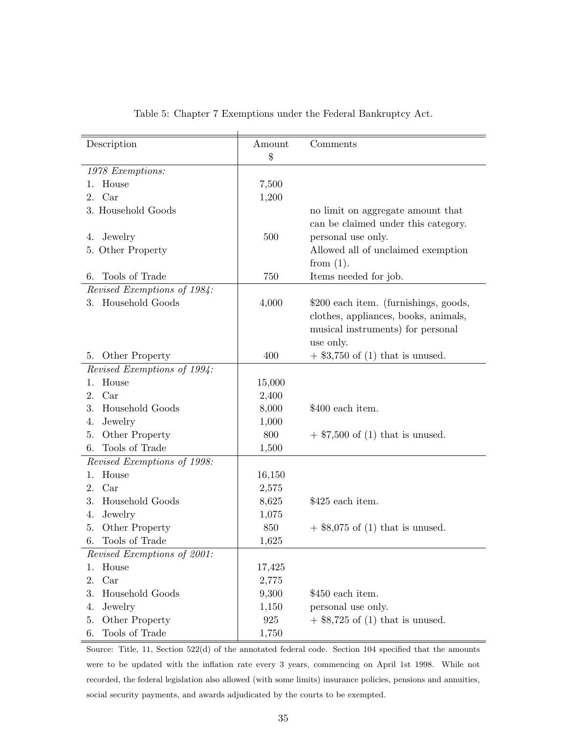| Description                 | Amount<br>\$ | Comments                              |
|-----------------------------|--------------|---------------------------------------|
| 1978 Exemptions:            |              |                                       |
| House<br>1.                 | 7,500        |                                       |
| 2. Car                      | 1,200        |                                       |
| 3. Household Goods          |              | no limit on aggregate amount that     |
|                             |              | can be claimed under this category.   |
| Jewelry<br>4.               | 500          | personal use only.                    |
| 5. Other Property           |              | Allowed all of unclaimed exemption    |
|                             |              | from $(1)$ .                          |
| Tools of Trade<br>6.        | 750          | Items needed for job.                 |
| Revised Exemptions of 1984: |              |                                       |
| 3. Household Goods          | 4,000        | \$200 each item. (furnishings, goods, |
|                             |              | clothes, appliances, books, animals,  |
|                             |              | musical instruments) for personal     |
|                             |              | use only.                             |
| Other Property<br>5.        | 400          | $+$ \$3,750 of (1) that is unused.    |
| Revised Exemptions of 1994: |              |                                       |
| House<br>1.                 | 15,000       |                                       |
| Car<br>2.                   | 2,400        |                                       |
| Household Goods<br>3.       | 8,000        | \$400 each item.                      |
| Jewelry<br>4.               | 1,000        |                                       |
| Other Property<br>5.        | 800          | $+$ \$7,500 of (1) that is unused.    |
| Tools of Trade<br>6.        | 1,500        |                                       |
| Revised Exemptions of 1998: |              |                                       |
| House<br>1.                 | 16,150       |                                       |
| Car<br>2.                   | 2,575        |                                       |
| Household Goods<br>3.       | 8,625        | \$425 each item.                      |
| Jewelry<br>4.               | 1,075        |                                       |
| Other Property<br>5.        | 850          | $+$ \$8,075 of (1) that is unused.    |
| Tools of Trade<br>6.        | 1,625        |                                       |
| Revised Exemptions of 2001: |              |                                       |
| House<br>1.                 | 17,425       |                                       |
| Car<br>2.                   | 2,775        |                                       |
| Household Goods<br>3.       | 9,300        | \$450 each item.                      |
| Jewelry<br>4.               | 1,150        | personal use only.                    |
| Other Property<br>5.        | 925          | $+$ \$8,725 of (1) that is unused.    |
| Tools of Trade<br>6.        | 1,750        |                                       |

### Table 5: Chapter 7 Exemptions under the Federal Bankruptcy Act.

Source: Title, 11, Section 522(d) of the annotated federal code. Section 104 specified that the amounts were to be updated with the inflation rate every 3 years, commencing on April 1st 1998. While not recorded, the federal legislation also allowed (with some limits) insurance policies, pensions and annuities, social security payments, and awards adjudicated by the courts to be exempted.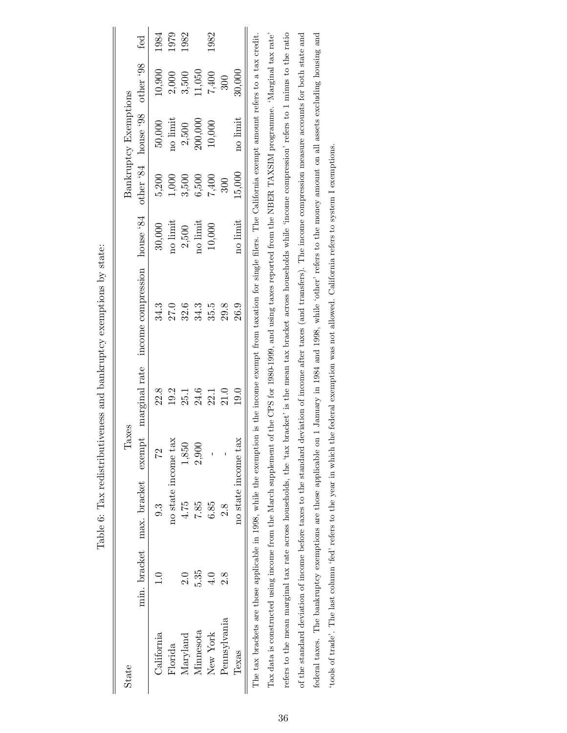| State        |               |                           | Taxes            |               |                                                                                                                                                                               |          |        | <b>Bankruptcy Exemptions</b> |        |      |
|--------------|---------------|---------------------------|------------------|---------------|-------------------------------------------------------------------------------------------------------------------------------------------------------------------------------|----------|--------|------------------------------|--------|------|
|              |               | min. bracket max. bracket | $\epsilon$ xempt | marginal rate | income compression                                                                                                                                                            | house 84 |        | other 84 house 98 other 98   |        | fed  |
| California   |               | 9.3                       | 22               | 22.8          | 34.3                                                                                                                                                                          | 30,000   | 5,200  | 50,000                       | 10,900 | 1984 |
| Florida      |               | no state income tax       |                  | 19.2          | 27.0                                                                                                                                                                          | no limit | 1,000  | no limit                     | 2,000  | 1979 |
| Maryland     | $\frac{0}{2}$ | 4.75                      | 1,850            | 25.1          | 32.6                                                                                                                                                                          | 2,500    | 3,500  | 2,500                        | 3,500  | 1982 |
| Minnesota    | 5.35          | 7.85                      | 2,900            | 24.6          | 34.3                                                                                                                                                                          | no limit | 6,500  | 200,000                      | 11,050 |      |
| New York     | 4.0           | 6.85                      |                  | 22.1          | 35.5                                                                                                                                                                          | 10,000   | 7,400  | 10,000                       | 7,400  | 1982 |
| Pennsylvania | 2.8           | 2.8                       |                  | 21.0          | 29.8                                                                                                                                                                          |          | 300    |                              | 300    |      |
| Texas        |               | no state income tax       |                  | 19.0          | 26.9                                                                                                                                                                          | no limit | 15,000 | no limit                     | 30,000 |      |
|              |               |                           |                  |               | The tax brackets are those applicable in 1998, while the exemption is the income exempt from taxation for single filers. The California exempt amount refers to a tax credit. |          |        |                              |        |      |
|              |               |                           |                  |               | Tax data is constructed using income from the March supplement of the CPS for 1980-1999, and using taxes reported from the NBER TAXSIM programme. 'Marginal tax rate'         |          |        |                              |        |      |
|              |               |                           |                  |               | refers to the mean marginal tax rate across households, the 'tax bracket' is the mean tax bracket across households while 'income compression' refers to 1 minus to the ratio |          |        |                              |        |      |
|              |               |                           |                  |               | of the standard deviation of income before taxes to the standard deviation of income after taxes (and transfers). The income compression measure accounts for both state and  |          |        |                              |        |      |

| יי שישי                                                                                                                                                                                                                                                                                                                                   |
|-------------------------------------------------------------------------------------------------------------------------------------------------------------------------------------------------------------------------------------------------------------------------------------------------------------------------------------------|
|                                                                                                                                                                                                                                                                                                                                           |
| - CHU - CHU - CHU - CHU - CHU - CHU - CHU - CHU - CHU - CHU - CHU - CHU - CHU - CHU - CHU<br>֖֖֖֖֖֖֖֧֖֖֧֧ׅ֖֪֪֧֪֧֖֚֚֚֚֚֚֚֚֚֚֚֚֚֚֚֚֚֚֚֚֚֚֚֚֚֚֚֚֬֝֝֓֞֝֬֝֝֬<br>l<br>j<br>l<br>l                                                                                                                                                               |
| ı<br>֧֧֧֦֧֧֦֧֧֪֪֪֧֪֪֚֚֚֚֚֚֚֚֚֚֚֚֚֚֚֚֚֝֡֓֓֓֡֓֓֓֡֓֓֡֓֓֞֓֡֬֓֓֓֬֓֓֓֓֓֓֓֡֬֓֓֓֓֝֬֝֓֝֬֝֬֝֬֝֓֝֬֝֓<br>יינו וואס היינו וואס היינו וואס היינו וואס היינו וואס היינו וואס היינו וואס היינו וואס היינו וואס היינו וואס ה<br>יינו וואס היינו וואס היינו וואס היינו וואס היינו וואס היינו וואס היינו וואס היינו וואס היינו וואס היינו וואס<br>l<br>ׇ֚֚֕֕ |
| <b>VENT</b>                                                                                                                                                                                                                                                                                                                               |
| l Luc and Highlingham and ya<br>)<br>)<br> <br>:                                                                                                                                                                                                                                                                                          |
| $\ddot{\mathbf{S}}$<br>ĺ                                                                                                                                                                                                                                                                                                                  |
|                                                                                                                                                                                                                                                                                                                                           |
| l<br>'<br>ו<br>$\frac{1}{1}$                                                                                                                                                                                                                                                                                                              |

federal taxes. The bankruptcy exemptions are those applicable on 1 January in 1984 and 1998, while 'other' refers to the money amount on all assets excluding housing and

federal taxes. The bankruptcy exemptions are those applicable on 1 January in 1984 and 1998, while 'other' refers to the money amount on all assets excluding housing and

'tools of trade'. The last column 'fed' refers to the year in which the federal exemption was not allowed. California refers to system I exemptions.

'tools of trade'. The last column 'fed' refers to the year in which the federal exemption was not allowed. California refers to system I exemptions.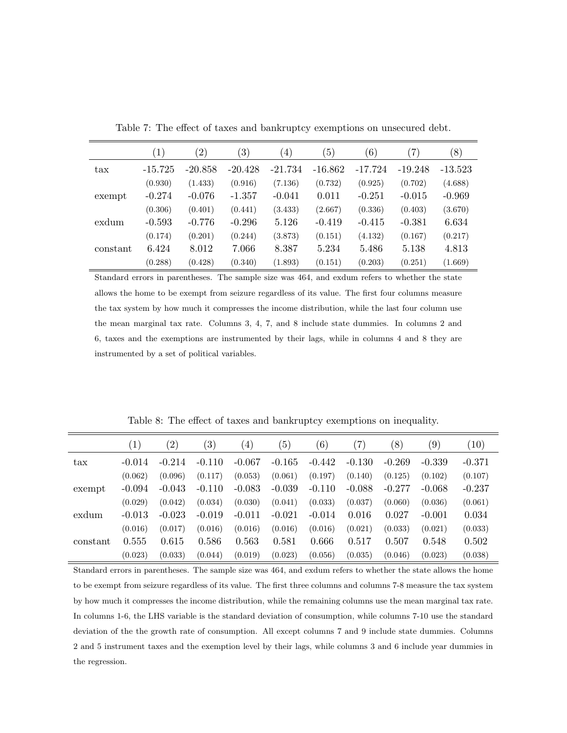|              | $\left( 1\right)$ | $\left( 2\right)$ | $\left(3\right)$ | $\left(4\right)$ | $\left(5\right)$ | (6)       | $^{\prime}7)$ | (8)       |
|--------------|-------------------|-------------------|------------------|------------------|------------------|-----------|---------------|-----------|
| $\text{tax}$ | $-15.725$         | $-20.858$         | $-20.428$        | $-21.734$        | $-16.862$        | $-17.724$ | $-19.248$     | $-13.523$ |
|              | (0.930)           | (1.433)           | (0.916)          | (7.136)          | (0.732)          | (0.925)   | (0.702)       | (4.688)   |
| exempt       | $-0.274$          | $-0.076$          | $-1.357$         | $-0.041$         | 0.011            | $-0.251$  | $-0.015$      | $-0.969$  |
|              | (0.306)           | (0.401)           | (0.441)          | (3.433)          | (2.667)          | (0.336)   | (0.403)       | (3.670)   |
| exdum        | $-0.593$          | $-0.776$          | $-0.296$         | 5.126            | $-0.419$         | $-0.415$  | $-0.381$      | 6.634     |
|              | (0.174)           | (0.201)           | (0.244)          | (3.873)          | (0.151)          | (4.132)   | (0.167)       | (0.217)   |
| constant     | 6.424             | 8.012             | 7.066            | 8.387            | 5.234            | 5.486     | 5.138         | 4.813     |
|              | (0.288)           | (0.428)           | (0.340)          | (1.893)          | (0.151)          | (0.203)   | (0.251)       | (1.669)   |

Table 7: The effect of taxes and bankruptcy exemptions on unsecured debt.

Standard errors in parentheses. The sample size was 464, and exdum refers to whether the state allows the home to be exempt from seizure regardless of its value. The first four columns measure the tax system by how much it compresses the income distribution, while the last four column use the mean marginal tax rate. Columns 3, 4, 7, and 8 include state dummies. In columns 2 and 6, taxes and the exemptions are instrumented by their lags, while in columns 4 and 8 they are instrumented by a set of political variables.

|              | $\left( 1\right)$ | $^{\prime}2)$ | $\left( 3\right)$ | $\left(4\right)$ | (5)      | (6)      | $\left( 7\right)$ | (8)      | $\left( 9\right)$ | (10)     |
|--------------|-------------------|---------------|-------------------|------------------|----------|----------|-------------------|----------|-------------------|----------|
| $\text{tax}$ | $-0.014$          | $-0.214$      | $-0.110$          | $-0.067$         | $-0.165$ | $-0.442$ | $-0.130$          | $-0.269$ | $-0.339$          | $-0.371$ |
|              | (0.062)           | (0.096)       | (0.117)           | (0.053)          | (0.061)  | (0.197)  | (0.140)           | (0.125)  | (0.102)           | (0.107)  |
| exempt       | $-0.094$          | $-0.043$      | $-0.110$          | $-0.083$         | $-0.039$ | $-0.110$ | $-0.088$          | $-0.277$ | $-0.068$          | $-0.237$ |
|              | (0.029)           | (0.042)       | (0.034)           | (0.030)          | (0.041)  | (0.033)  | (0.037)           | (0.060)  | (0.036)           | (0.061)  |
| exdum        | $-0.013$          | $-0.023$      | $-0.019$          | $-0.011$         | $-0.021$ | $-0.014$ | 0.016             | 0.027    | $-0.001$          | 0.034    |
|              | (0.016)           | (0.017)       | (0.016)           | (0.016)          | (0.016)  | (0.016)  | (0.021)           | (0.033)  | (0.021)           | (0.033)  |
| constant     | 0.555             | 0.615         | 0.586             | 0.563            | 0.581    | 0.666    | 0.517             | 0.507    | 0.548             | 0.502    |
|              | (0.023)           | (0.033)       | (0.044)           | (0.019)          | (0.023)  | (0.056)  | (0.035)           | (0.046)  | (0.023)           | (0.038)  |

Table 8: The effect of taxes and bankruptcy exemptions on inequality.

Standard errors in parentheses. The sample size was 464, and exdum refers to whether the state allows the home to be exempt from seizure regardless of its value. The first three columns and columns 7-8 measure the tax system by how much it compresses the income distribution, while the remaining columns use the mean marginal tax rate. In columns 1-6, the LHS variable is the standard deviation of consumption, while columns 7-10 use the standard deviation of the the growth rate of consumption. All except columns 7 and 9 include state dummies. Columns 2 and 5 instrument taxes and the exemption level by their lags, while columns 3 and 6 include year dummies in the regression.